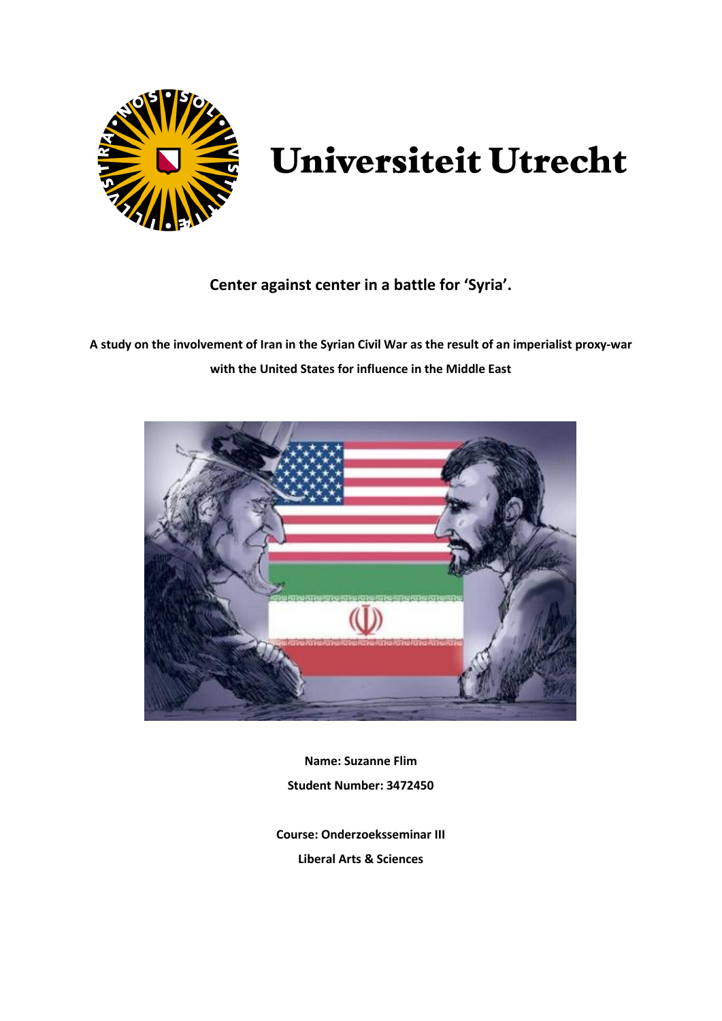

# **Universiteit Utrecht**

# **Center against center in a battle for 'Syria'.**

**A study on the involvement of Iran in the Syrian Civil War as the result of an imperialist proxy-war with the United States for influence in the Middle East**



**Name: Suzanne Flim Student Number: 3472450**

**Course: Onderzoeksseminar III Liberal Arts & Sciences**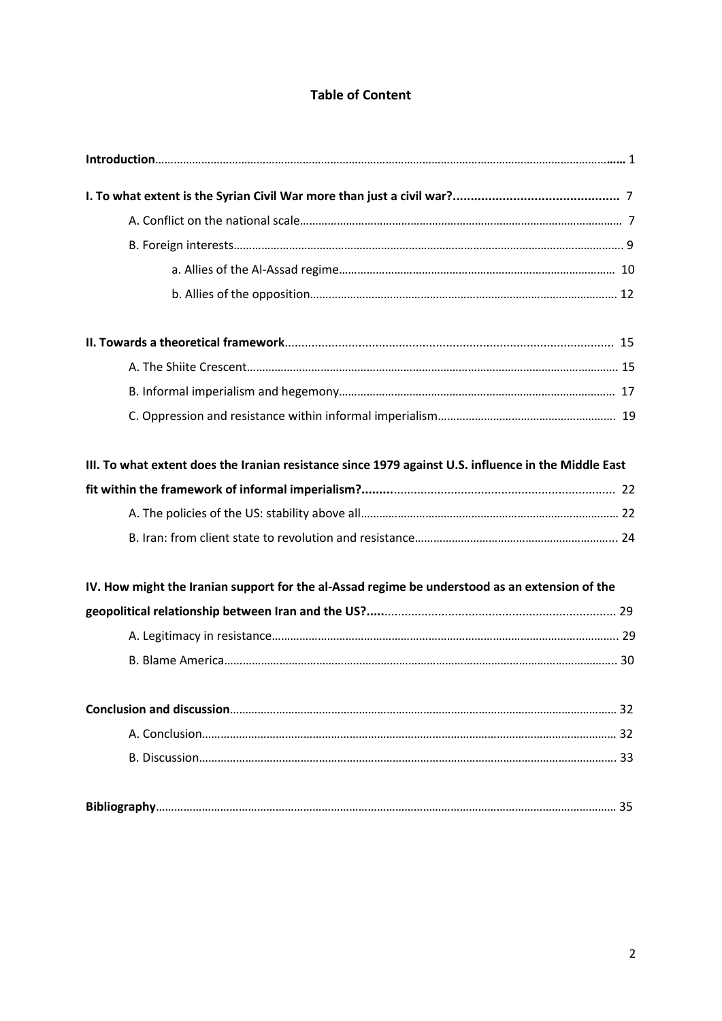# **Table of Content**

| III. To what extent does the Iranian resistance since 1979 against U.S. influence in the Middle East |  |
|------------------------------------------------------------------------------------------------------|--|
|                                                                                                      |  |
|                                                                                                      |  |
|                                                                                                      |  |
| IV. How might the Iranian support for the al-Assad regime be understood as an extension of the       |  |
|                                                                                                      |  |
|                                                                                                      |  |
|                                                                                                      |  |
|                                                                                                      |  |
|                                                                                                      |  |
|                                                                                                      |  |
|                                                                                                      |  |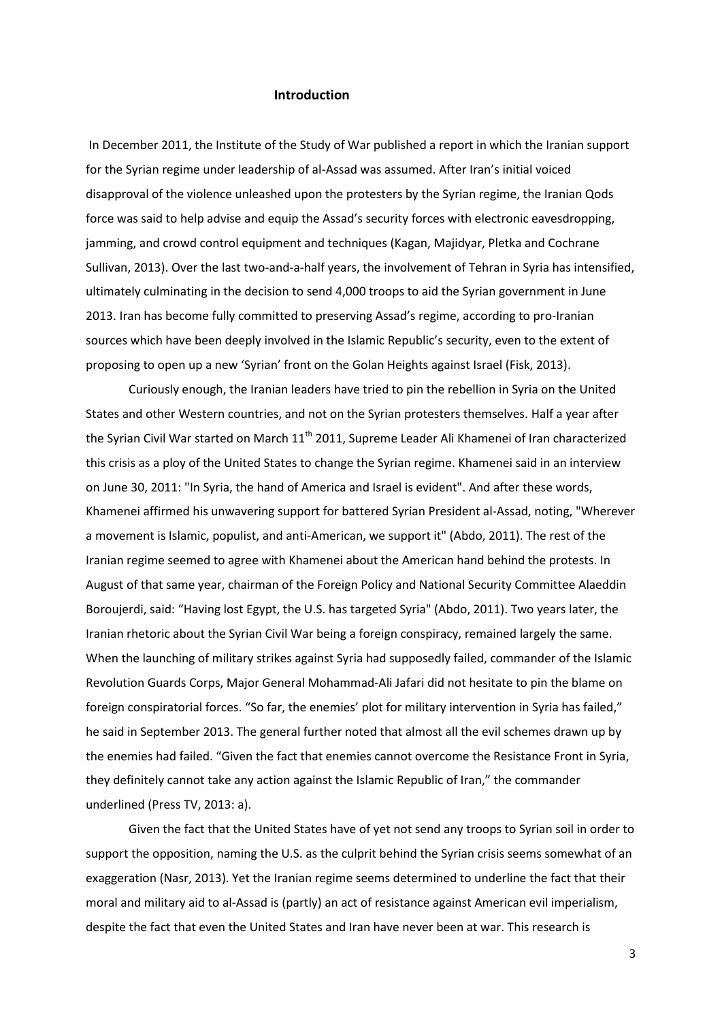#### **Introduction**

In December 2011, the Institute of the Study of War published a report in which the Iranian support for the Syrian regime under leadership of al-Assad was assumed. After Iran's initial voiced disapproval of the violence unleashed upon the protesters by the Syrian regime, the Iranian Qods force was said to help advise and equip the Assad's security forces with electronic eavesdropping, jamming, and crowd control equipment and techniques (Kagan, Majidyar, Pletka and Cochrane Sullivan, 2013). Over the last two-and-a-half years, the involvement of Tehran in Syria has intensified, ultimately culminating in the decision to send 4,000 troops to aid the Syrian government in June 2013. Iran has become fully committed to preserving Assad's regime, according to pro-Iranian sources which have been deeply involved in the Islamic Republic's security, even to the extent of proposing to open up a new 'Syrian' front on the Golan Heights against Israel (Fisk, 2013).

Curiously enough, the Iranian leaders have tried to pin the rebellion in Syria on the United States and other Western countries, and not on the Syrian protesters themselves. Half a year after the Syrian Civil War started on March 11<sup>th</sup> 2011, Supreme Leader Ali Khamenei of Iran characterized this crisis as a ploy of the United States to change the Syrian regime. Khamenei said in an interview on June 30, 2011: "In Syria, the hand of America and Israel is evident". And after these words, Khamenei affirmed his unwavering support for battered Syrian President al-Assad, noting, "Wherever a movement is Islamic, populist, and anti-American, we support it" (Abdo, 2011). The rest of the Iranian regime seemed to agree with Khamenei about the American hand behind the protests. In August of that same year, chairman of the Foreign Policy and National Security Committee Alaeddin Boroujerdi, said: "Having lost Egypt, the U.S. has targeted Syria" (Abdo, 2011). Two years later, the Iranian rhetoric about the Syrian Civil War being a foreign conspiracy, remained largely the same. When the launching of military strikes against Syria had supposedly failed, commander of the Islamic Revolution Guards Corps, Major General Mohammad-Ali Jafari did not hesitate to pin the blame on foreign conspiratorial forces. "So far, the enemies' plot for military intervention in Syria has failed," he said in September 2013. The general further noted that almost all the evil schemes drawn up by the enemies had failed. "Given the fact that enemies cannot overcome the Resistance Front in Syria, they definitely cannot take any action against the Islamic Republic of Iran," the commander underlined (Press TV, 2013: a).

 Given the fact that the United States have of yet not send any troops to Syrian soil in order to support the opposition, naming the U.S. as the culprit behind the Syrian crisis seems somewhat of an exaggeration (Nasr, 2013). Yet the Iranian regime seems determined to underline the fact that their moral and military aid to al-Assad is (partly) an act of resistance against American evil imperialism, despite the fact that even the United States and Iran have never been at war. This research is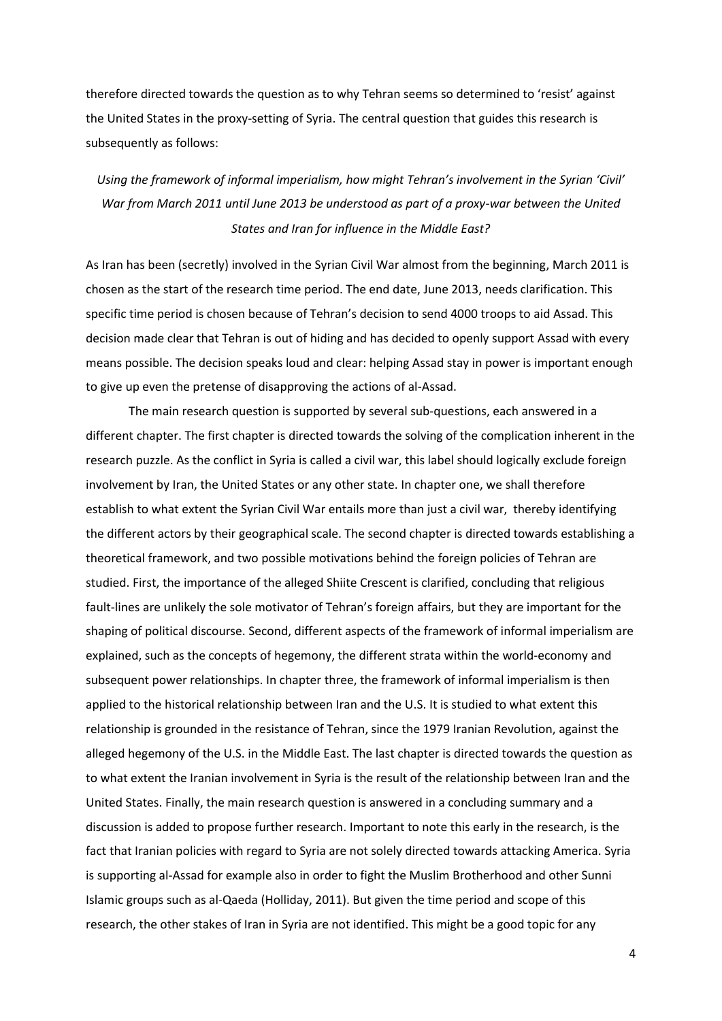therefore directed towards the question as to why Tehran seems so determined to 'resist' against the United States in the proxy-setting of Syria. The central question that guides this research is subsequently as follows:

*Using the framework of informal imperialism, how might Tehran's involvement in the Syrian 'Civil' War from March 2011 until June 2013 be understood as part of a proxy-war between the United States and Iran for influence in the Middle East?*

As Iran has been (secretly) involved in the Syrian Civil War almost from the beginning, March 2011 is chosen as the start of the research time period. The end date, June 2013, needs clarification. This specific time period is chosen because of Tehran's decision to send 4000 troops to aid Assad. This decision made clear that Tehran is out of hiding and has decided to openly support Assad with every means possible. The decision speaks loud and clear: helping Assad stay in power is important enough to give up even the pretense of disapproving the actions of al-Assad.

The main research question is supported by several sub-questions, each answered in a different chapter. The first chapter is directed towards the solving of the complication inherent in the research puzzle. As the conflict in Syria is called a civil war, this label should logically exclude foreign involvement by Iran, the United States or any other state. In chapter one, we shall therefore establish to what extent the Syrian Civil War entails more than just a civil war, thereby identifying the different actors by their geographical scale. The second chapter is directed towards establishing a theoretical framework, and two possible motivations behind the foreign policies of Tehran are studied. First, the importance of the alleged Shiite Crescent is clarified, concluding that religious fault-lines are unlikely the sole motivator of Tehran's foreign affairs, but they are important for the shaping of political discourse. Second, different aspects of the framework of informal imperialism are explained, such as the concepts of hegemony, the different strata within the world-economy and subsequent power relationships. In chapter three, the framework of informal imperialism is then applied to the historical relationship between Iran and the U.S. It is studied to what extent this relationship is grounded in the resistance of Tehran, since the 1979 Iranian Revolution, against the alleged hegemony of the U.S. in the Middle East. The last chapter is directed towards the question as to what extent the Iranian involvement in Syria is the result of the relationship between Iran and the United States. Finally, the main research question is answered in a concluding summary and a discussion is added to propose further research. Important to note this early in the research, is the fact that Iranian policies with regard to Syria are not solely directed towards attacking America. Syria is supporting al-Assad for example also in order to fight the Muslim Brotherhood and other Sunni Islamic groups such as al-Qaeda (Holliday, 2011). But given the time period and scope of this research, the other stakes of Iran in Syria are not identified. This might be a good topic for any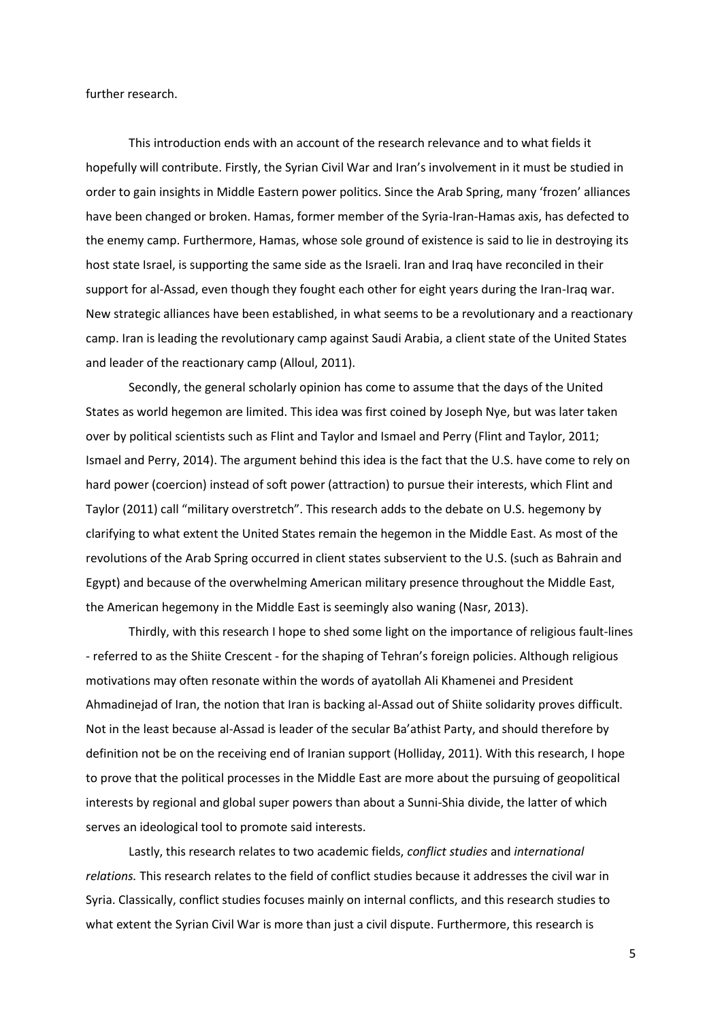further research.

This introduction ends with an account of the research relevance and to what fields it hopefully will contribute. Firstly, the Syrian Civil War and Iran's involvement in it must be studied in order to gain insights in Middle Eastern power politics. Since the Arab Spring, many 'frozen' alliances have been changed or broken. Hamas, former member of the Syria-Iran-Hamas axis, has defected to the enemy camp. Furthermore, Hamas, whose sole ground of existence is said to lie in destroying its host state Israel, is supporting the same side as the Israeli. Iran and Iraq have reconciled in their support for al-Assad, even though they fought each other for eight years during the Iran-Iraq war. New strategic alliances have been established, in what seems to be a revolutionary and a reactionary camp. Iran is leading the revolutionary camp against Saudi Arabia, a client state of the United States and leader of the reactionary camp (Alloul, 2011).

Secondly, the general scholarly opinion has come to assume that the days of the United States as world hegemon are limited. This idea was first coined by Joseph Nye, but was later taken over by political scientists such as Flint and Taylor and Ismael and Perry (Flint and Taylor, 2011; Ismael and Perry, 2014). The argument behind this idea is the fact that the U.S. have come to rely on hard power (coercion) instead of soft power (attraction) to pursue their interests, which Flint and Taylor (2011) call "military overstretch". This research adds to the debate on U.S. hegemony by clarifying to what extent the United States remain the hegemon in the Middle East. As most of the revolutions of the Arab Spring occurred in client states subservient to the U.S. (such as Bahrain and Egypt) and because of the overwhelming American military presence throughout the Middle East, the American hegemony in the Middle East is seemingly also waning (Nasr, 2013).

Thirdly, with this research I hope to shed some light on the importance of religious fault-lines - referred to as the Shiite Crescent - for the shaping of Tehran's foreign policies. Although religious motivations may often resonate within the words of ayatollah Ali Khamenei and President Ahmadinejad of Iran, the notion that Iran is backing al-Assad out of Shiite solidarity proves difficult. Not in the least because al-Assad is leader of the secular Ba'athist Party, and should therefore by definition not be on the receiving end of Iranian support (Holliday, 2011). With this research, I hope to prove that the political processes in the Middle East are more about the pursuing of geopolitical interests by regional and global super powers than about a Sunni-Shia divide, the latter of which serves an ideological tool to promote said interests.

 Lastly, this research relates to two academic fields, *conflict studies* and *international relations.* This research relates to the field of conflict studies because it addresses the civil war in Syria. Classically, conflict studies focuses mainly on internal conflicts, and this research studies to what extent the Syrian Civil War is more than just a civil dispute. Furthermore, this research is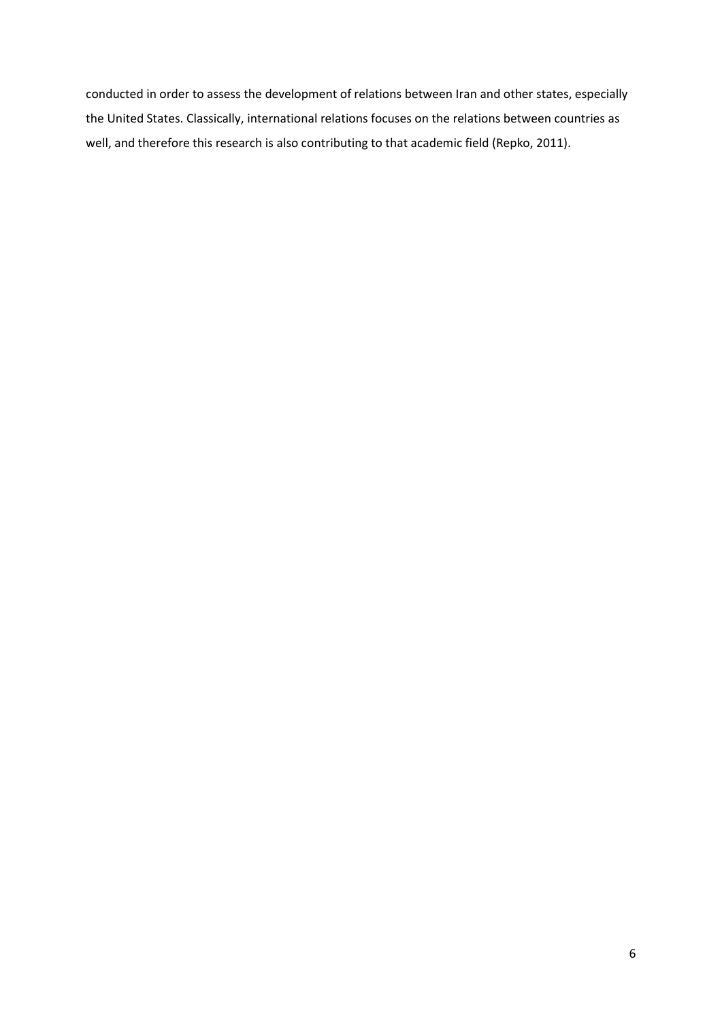conducted in order to assess the development of relations between Iran and other states, especially the United States. Classically, international relations focuses on the relations between countries as well, and therefore this research is also contributing to that academic field (Repko, 2011).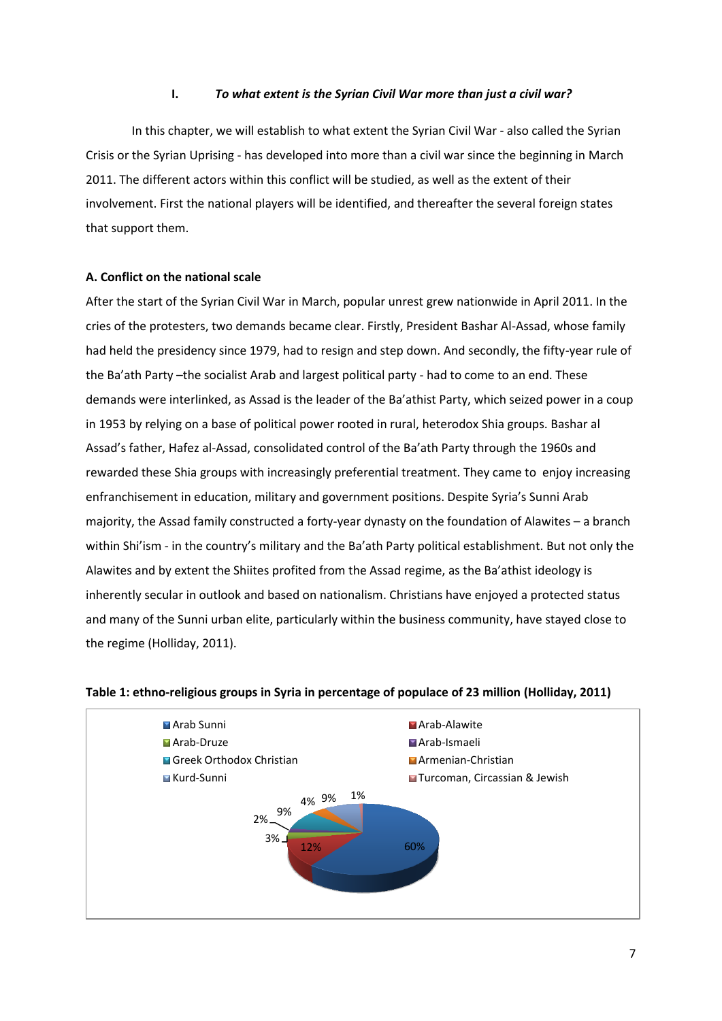# **I.** *To what extent is the Syrian Civil War more than just a civil war?*

In this chapter, we will establish to what extent the Syrian Civil War - also called the Syrian Crisis or the Syrian Uprising - has developed into more than a civil war since the beginning in March 2011. The different actors within this conflict will be studied, as well as the extent of their involvement. First the national players will be identified, and thereafter the several foreign states that support them.

# **A. Conflict on the national scale**

After the start of the Syrian Civil War in March, popular unrest grew nationwide in April 2011. In the cries of the protesters, two demands became clear. Firstly, President Bashar Al-Assad, whose family had held the presidency since 1979, had to resign and step down. And secondly, the fifty-year rule of the Ba'ath Party –the socialist Arab and largest political party - had to come to an end. These demands were interlinked, as Assad is the leader of the Ba'athist Party, which seized power in a coup in 1953 by relying on a base of political power rooted in rural, heterodox Shia groups. Bashar al Assad's father, Hafez al-Assad, consolidated control of the Ba'ath Party through the 1960s and rewarded these Shia groups with increasingly preferential treatment. They came to enjoy increasing enfranchisement in education, military and government positions. Despite Syria's Sunni Arab majority, the Assad family constructed a forty-year dynasty on the foundation of Alawites – a branch within Shi'ism - in the country's military and the Ba'ath Party political establishment. But not only the Alawites and by extent the Shiites profited from the Assad regime, as the Ba'athist ideology is inherently secular in outlook and based on nationalism. Christians have enjoyed a protected status and many of the Sunni urban elite, particularly within the business community, have stayed close to the regime (Holliday, 2011).



## **Table 1: ethno-religious groups in Syria in percentage of populace of 23 million (Holliday, 2011)**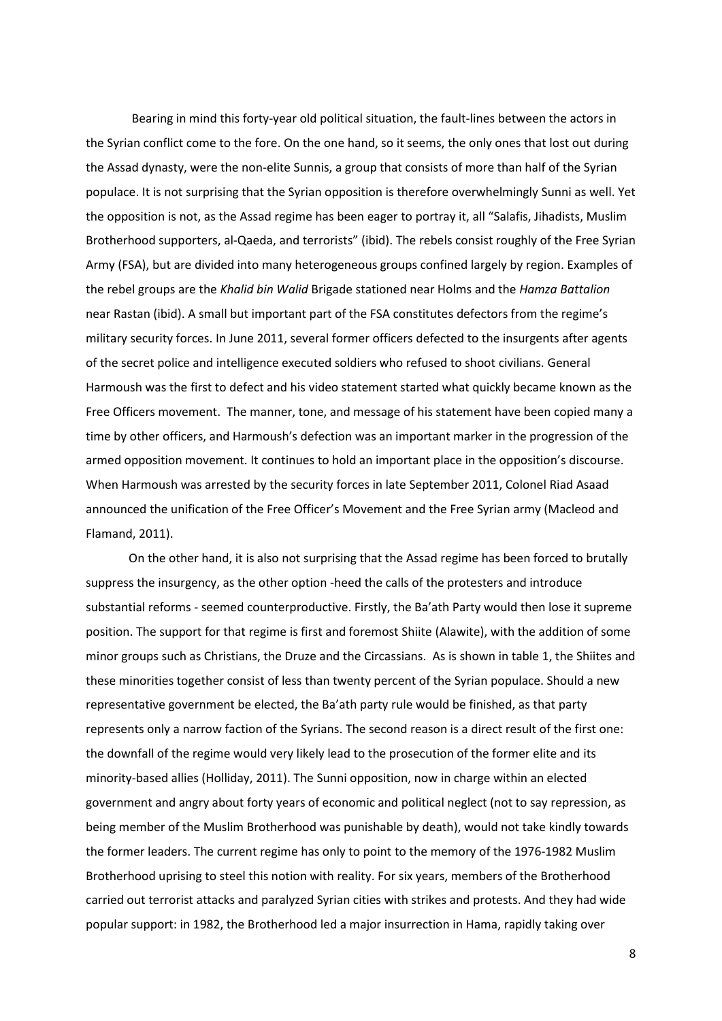Bearing in mind this forty-year old political situation, the fault-lines between the actors in the Syrian conflict come to the fore. On the one hand, so it seems, the only ones that lost out during the Assad dynasty, were the non-elite Sunnis, a group that consists of more than half of the Syrian populace. It is not surprising that the Syrian opposition is therefore overwhelmingly Sunni as well. Yet the opposition is not, as the Assad regime has been eager to portray it, all "Salafis, Jihadists, Muslim Brotherhood supporters, al-Qaeda, and terrorists" (ibid). The rebels consist roughly of the Free Syrian Army (FSA), but are divided into many heterogeneous groups confined largely by region. Examples of the rebel groups are the *Khalid bin Walid* Brigade stationed near Holms and the *Hamza Battalion* near Rastan (ibid). A small but important part of the FSA constitutes defectors from the regime's military security forces. In June 2011, several former officers defected to the insurgents after agents of the secret police and intelligence executed soldiers who refused to shoot civilians. General Harmoush was the first to defect and his video statement started what quickly became known as the Free Officers movement. The manner, tone, and message of his statement have been copied many a time by other officers, and Harmoush's defection was an important marker in the progression of the armed opposition movement. It continues to hold an important place in the opposition's discourse. When Harmoush was arrested by the security forces in late September 2011, Colonel Riad Asaad announced the unification of the Free Officer's Movement and the Free Syrian army (Macleod and Flamand, 2011).

 On the other hand, it is also not surprising that the Assad regime has been forced to brutally suppress the insurgency, as the other option -heed the calls of the protesters and introduce substantial reforms - seemed counterproductive. Firstly, the Ba'ath Party would then lose it supreme position. The support for that regime is first and foremost Shiite (Alawite), with the addition of some minor groups such as Christians, the Druze and the Circassians. As is shown in table 1, the Shiites and these minorities together consist of less than twenty percent of the Syrian populace. Should a new representative government be elected, the Ba'ath party rule would be finished, as that party represents only a narrow faction of the Syrians. The second reason is a direct result of the first one: the downfall of the regime would very likely lead to the prosecution of the former elite and its minority-based allies (Holliday, 2011). The Sunni opposition, now in charge within an elected government and angry about forty years of economic and political neglect (not to say repression, as being member of the Muslim Brotherhood was punishable by death), would not take kindly towards the former leaders. The current regime has only to point to the memory of the 1976-1982 Muslim Brotherhood uprising to steel this notion with reality. For six years, members of the Brotherhood carried out terrorist attacks and paralyzed Syrian cities with strikes and protests. And they had wide popular support: in 1982, the Brotherhood led a major insurrection in Hama, rapidly taking over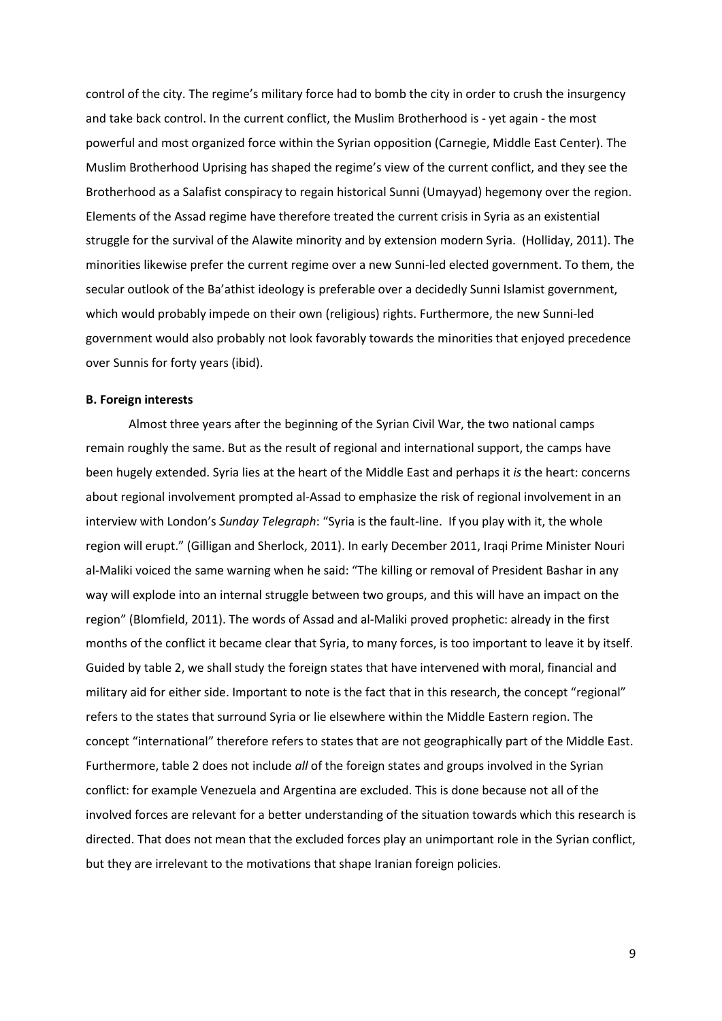control of the city. The regime's military force had to bomb the city in order to crush the insurgency and take back control. In the current conflict, the Muslim Brotherhood is - yet again - the most powerful and most organized force within the Syrian opposition (Carnegie, Middle East Center). The Muslim Brotherhood Uprising has shaped the regime's view of the current conflict, and they see the Brotherhood as a Salafist conspiracy to regain historical Sunni (Umayyad) hegemony over the region. Elements of the Assad regime have therefore treated the current crisis in Syria as an existential struggle for the survival of the Alawite minority and by extension modern Syria. (Holliday, 2011). The minorities likewise prefer the current regime over a new Sunni-led elected government. To them, the secular outlook of the Ba'athist ideology is preferable over a decidedly Sunni Islamist government, which would probably impede on their own (religious) rights. Furthermore, the new Sunni-led government would also probably not look favorably towards the minorities that enjoyed precedence over Sunnis for forty years (ibid).

#### **B. Foreign interests**

Almost three years after the beginning of the Syrian Civil War, the two national camps remain roughly the same. But as the result of regional and international support, the camps have been hugely extended. Syria lies at the heart of the Middle East and perhaps it *is* the heart: concerns about regional involvement prompted al-Assad to emphasize the risk of regional involvement in an interview with London's *Sunday Telegraph*: "Syria is the fault-line. If you play with it, the whole region will erupt." (Gilligan and Sherlock, 2011). In early December 2011, Iraqi Prime Minister Nouri al-Maliki voiced the same warning when he said: "The killing or removal of President Bashar in any way will explode into an internal struggle between two groups, and this will have an impact on the region" (Blomfield, 2011). The words of Assad and al-Maliki proved prophetic: already in the first months of the conflict it became clear that Syria, to many forces, is too important to leave it by itself. Guided by table 2, we shall study the foreign states that have intervened with moral, financial and military aid for either side. Important to note is the fact that in this research, the concept "regional" refers to the states that surround Syria or lie elsewhere within the Middle Eastern region. The concept "international" therefore refers to states that are not geographically part of the Middle East. Furthermore, table 2 does not include *all* of the foreign states and groups involved in the Syrian conflict: for example Venezuela and Argentina are excluded. This is done because not all of the involved forces are relevant for a better understanding of the situation towards which this research is directed. That does not mean that the excluded forces play an unimportant role in the Syrian conflict, but they are irrelevant to the motivations that shape Iranian foreign policies.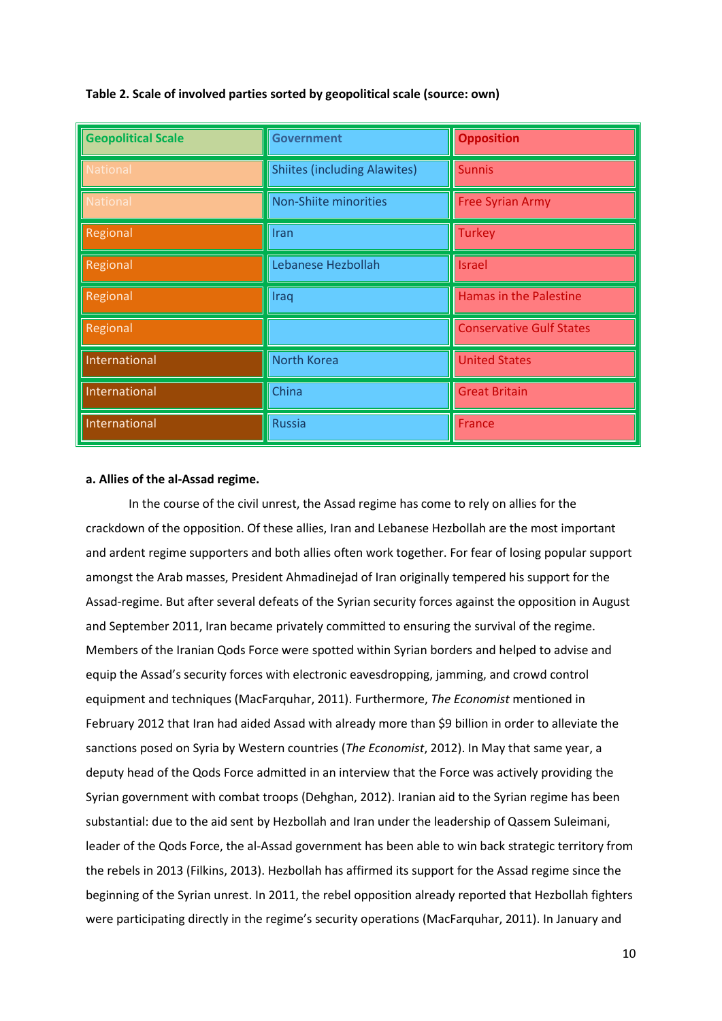| <b>Geopolitical Scale</b> | <b>Government</b>                   | <b>Opposition</b>               |
|---------------------------|-------------------------------------|---------------------------------|
| National                  | <b>Shiites (including Alawites)</b> | <b>Sunnis</b>                   |
| <b>National</b>           | Non-Shiite minorities               | <b>Free Syrian Army</b>         |
| Regional                  | Iran                                | <b>Turkey</b>                   |
| Regional                  | Lebanese Hezbollah                  | <b>Israel</b>                   |
| Regional                  | Iraq                                | <b>Hamas in the Palestine</b>   |
| Regional                  |                                     | <b>Conservative Gulf States</b> |
| International             | <b>North Korea</b>                  | <b>United States</b>            |
| International             | China                               | <b>Great Britain</b>            |
| International             | <b>Russia</b>                       | France                          |

# **Table 2. Scale of involved parties sorted by geopolitical scale (source: own)**

# **a. Allies of the al-Assad regime.**

In the course of the civil unrest, the Assad regime has come to rely on allies for the crackdown of the opposition. Of these allies, Iran and Lebanese Hezbollah are the most important and ardent regime supporters and both allies often work together. For fear of losing popular support amongst the Arab masses, President Ahmadinejad of Iran originally tempered his support for the Assad-regime. But after several defeats of the Syrian security forces against the opposition in August and September 2011, Iran became privately committed to ensuring the survival of the regime. Members of the Iranian Qods Force were spotted within Syrian borders and helped to advise and equip the Assad's security forces with electronic eavesdropping, jamming, and crowd control equipment and techniques (MacFarquhar, 2011). Furthermore, *The Economist* mentioned in February 2012 that Iran had aided Assad with already more than \$9 billion in order to alleviate the sanctions posed on Syria by Western countries (*The Economist*, 2012). In May that same year, a deputy head of the Qods Force admitted in an interview that the Force was actively providing the Syrian government with combat troops (Dehghan, 2012). Iranian aid to the Syrian regime has been substantial: due to the aid sent by Hezbollah and Iran under the leadership of Qassem Suleimani, leader of the Qods Force, the al-Assad government has been able to win back strategic territory from the rebels in 2013 (Filkins, 2013). Hezbollah has affirmed its support for the Assad regime since the beginning of the Syrian unrest. In 2011, the rebel opposition already reported that Hezbollah fighters were participating directly in the regime's security operations (MacFarquhar, 2011). In January and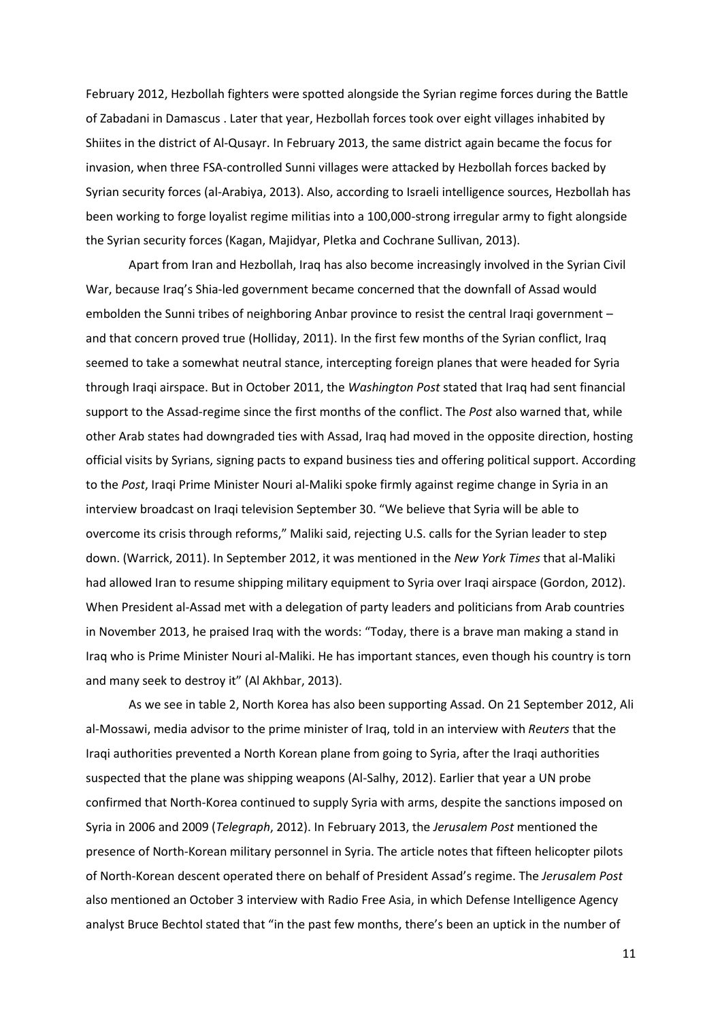February 2012, Hezbollah fighters were spotted alongside the Syrian regime forces during the Battle of Zabadani in Damascus . Later that year, Hezbollah forces took over eight villages inhabited by Shiites in the district of Al-Qusayr. In February 2013, the same district again became the focus for invasion, when three FSA-controlled Sunni villages were attacked by Hezbollah forces backed by Syrian security forces (al-Arabiya, 2013). Also, according to Israeli intelligence sources, Hezbollah has been working to forge loyalist regime militias into a 100,000-strong irregular army to fight alongside the Syrian security forces (Kagan, Majidyar, Pletka and Cochrane Sullivan, 2013).

Apart from Iran and Hezbollah, Iraq has also become increasingly involved in the Syrian Civil War, because Iraq's Shia-led government became concerned that the downfall of Assad would embolden the Sunni tribes of neighboring Anbar province to resist the central Iraqi government – and that concern proved true (Holliday, 2011). In the first few months of the Syrian conflict, Iraq seemed to take a somewhat neutral stance, intercepting foreign planes that were headed for Syria through Iraqi airspace. But in October 2011, the *Washington Post* stated that Iraq had sent financial support to the Assad-regime since the first months of the conflict. The *Post* also warned that, while other Arab states had downgraded ties with Assad, Iraq had moved in the opposite direction, hosting official visits by Syrians, signing pacts to expand business ties and offering political support. According to the *Post*, Iraqi Prime Minister Nouri al-Maliki spoke firmly against regime change in Syria in an interview broadcast on Iraqi television September 30. "We believe that Syria will be able to overcome its crisis through reforms," Maliki said, rejecting U.S. calls for the Syrian leader to step down. (Warrick, 2011). In September 2012, it was mentioned in the *New York Times* that al-Maliki had allowed Iran to resume shipping military equipment to Syria over Iraqi airspace (Gordon, 2012). When President al-Assad met with a delegation of party leaders and politicians from Arab countries in November 2013, he praised Iraq with the words: "Today, there is a brave man making a stand in Iraq who is Prime Minister Nouri al-Maliki. He has important stances, even though his country is torn and many seek to destroy it" (Al Akhbar, 2013).

As we see in table 2, North Korea has also been supporting Assad. On 21 September 2012, Ali al-Mossawi, media advisor to the prime minister of Iraq, told in an interview with *Reuters* that the Iraqi authorities prevented a North Korean plane from going to Syria, after the Iraqi authorities suspected that the plane was shipping weapons (Al-Salhy, 2012). Earlier that year a UN probe confirmed that North-Korea continued to supply Syria with arms, despite the sanctions imposed on Syria in 2006 and 2009 (*Telegraph*, 2012). In February 2013, the *Jerusalem Post* mentioned the presence of North-Korean military personnel in Syria. The article notes that fifteen helicopter pilots of North-Korean descent operated there on behalf of President Assad's regime. The *Jerusalem Post* also mentioned an October 3 interview with Radio Free Asia, in which Defense Intelligence Agency analyst Bruce Bechtol stated that "in the past few months, there's been an uptick in the number of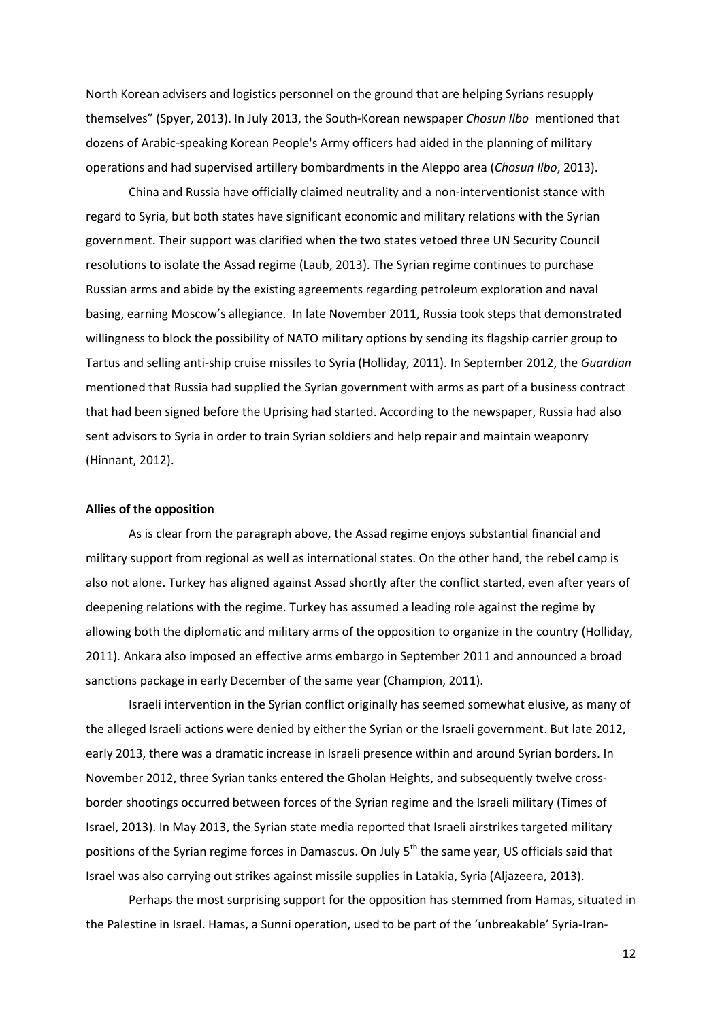North Korean advisers and logistics personnel on the ground that are helping Syrians resupply themselves" (Spyer, 2013). In July 2013, the South-Korean newspaper *Chosun Ilbo* mentioned that dozens of Arabic-speaking Korean People's Army officers had aided in the planning of military operations and had supervised artillery bombardments in the Aleppo area (*Chosun Ilbo*, 2013).

China and Russia have officially claimed neutrality and a non-interventionist stance with regard to Syria, but both states have significant economic and military relations with the Syrian government. Their support was clarified when the two states vetoed three UN Security Council resolutions to isolate the Assad regime (Laub, 2013). The Syrian regime continues to purchase Russian arms and abide by the existing agreements regarding petroleum exploration and naval basing, earning Moscow's allegiance. In late November 2011, Russia took steps that demonstrated willingness to block the possibility of NATO military options by sending its flagship carrier group to Tartus and selling anti-ship cruise missiles to Syria (Holliday, 2011). In September 2012, the *Guardian*  mentioned that Russia had supplied the Syrian government with arms as part of a business contract that had been signed before the Uprising had started. According to the newspaper, Russia had also sent advisors to Syria in order to train Syrian soldiers and help repair and maintain weaponry (Hinnant, 2012).

#### **Allies of the opposition**

As is clear from the paragraph above, the Assad regime enjoys substantial financial and military support from regional as well as international states. On the other hand, the rebel camp is also not alone. Turkey has aligned against Assad shortly after the conflict started, even after years of deepening relations with the regime. Turkey has assumed a leading role against the regime by allowing both the diplomatic and military arms of the opposition to organize in the country (Holliday, 2011). Ankara also imposed an effective arms embargo in September 2011 and announced a broad sanctions package in early December of the same year (Champion, 2011).

Israeli intervention in the Syrian conflict originally has seemed somewhat elusive, as many of the alleged Israeli actions were denied by either the Syrian or the Israeli government. But late 2012, early 2013, there was a dramatic increase in Israeli presence within and around Syrian borders. In November 2012, three Syrian tanks entered the Gholan Heights, and subsequently twelve crossborder shootings occurred between forces of the Syrian regime and the Israeli military (Times of Israel, 2013). In May 2013, the Syrian state media reported that Israeli airstrikes targeted military positions of the Syrian regime forces in Damascus. On July  $5<sup>th</sup>$  the same year, US officials said that Israel was also carrying out strikes against missile supplies in Latakia, Syria (Aljazeera, 2013).

Perhaps the most surprising support for the opposition has stemmed from Hamas, situated in the Palestine in Israel. Hamas, a Sunni operation, used to be part of the 'unbreakable' Syria-Iran-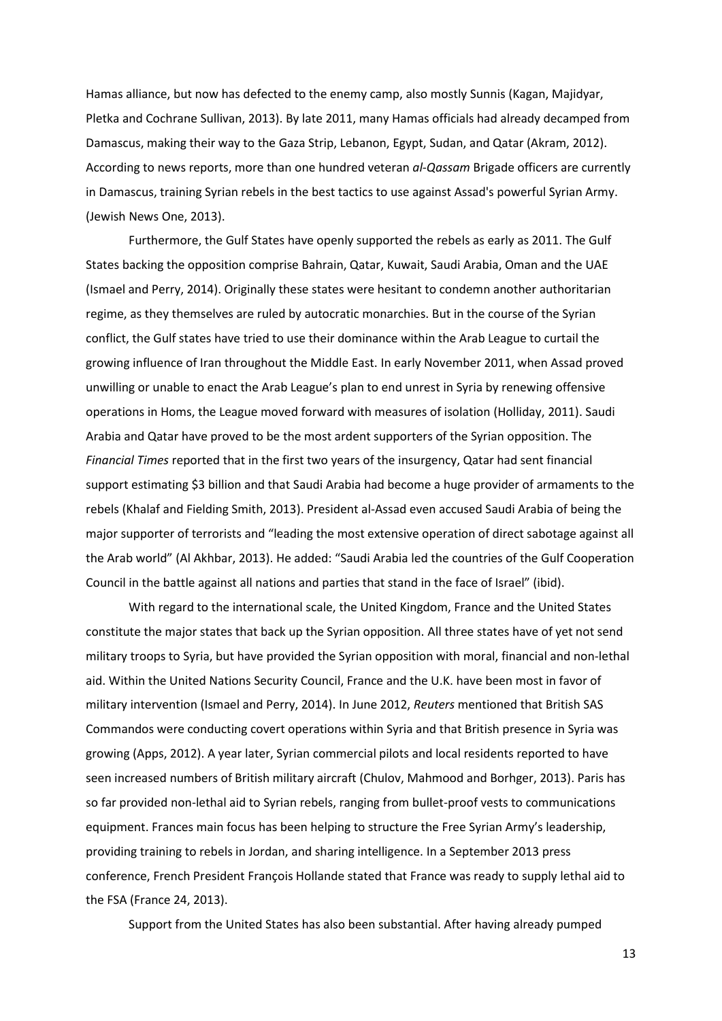Hamas alliance, but now has defected to the enemy camp, also mostly Sunnis (Kagan, Majidyar, Pletka and Cochrane Sullivan, 2013). By late 2011, many Hamas officials had already decamped from Damascus, making their way to the Gaza Strip, Lebanon, Egypt, Sudan, and Qatar (Akram, 2012). According to news reports, more than one hundred veteran *al-Qassam* Brigade officers are currently in Damascus, training Syrian rebels in the best tactics to use against Assad's powerful Syrian Army. (Jewish News One, 2013).

Furthermore, the Gulf States have openly supported the rebels as early as 2011. The Gulf States backing the opposition comprise Bahrain, Qatar, Kuwait, Saudi Arabia, Oman and the UAE (Ismael and Perry, 2014). Originally these states were hesitant to condemn another authoritarian regime, as they themselves are ruled by autocratic monarchies. But in the course of the Syrian conflict, the Gulf states have tried to use their dominance within the Arab League to curtail the growing influence of Iran throughout the Middle East. In early November 2011, when Assad proved unwilling or unable to enact the Arab League's plan to end unrest in Syria by renewing offensive operations in Homs, the League moved forward with measures of isolation (Holliday, 2011). Saudi Arabia and Qatar have proved to be the most ardent supporters of the Syrian opposition. The *Financial Times* reported that in the first two years of the insurgency, Qatar had sent financial support estimating \$3 billion and that Saudi Arabia had become a huge provider of armaments to the rebels (Khalaf and Fielding Smith, 2013). President al-Assad even accused Saudi Arabia of being the major supporter of terrorists and "leading the most extensive operation of direct sabotage against all the Arab world" (Al Akhbar, 2013). He added: "Saudi Arabia led the countries of the Gulf Cooperation Council in the battle against all nations and parties that stand in the face of Israel" (ibid).

With regard to the international scale, the United Kingdom, France and the United States constitute the major states that back up the Syrian opposition. All three states have of yet not send military troops to Syria, but have provided the Syrian opposition with moral, financial and non-lethal aid. Within the United Nations Security Council, France and the U.K. have been most in favor of military intervention (Ismael and Perry, 2014). In June 2012, *Reuters* mentioned that British SAS Commandos were conducting covert operations within Syria and that British presence in Syria was growing (Apps, 2012). A year later, Syrian commercial pilots and local residents reported to have seen increased numbers of British military aircraft (Chulov, Mahmood and Borhger, 2013). Paris has so far provided non-lethal aid to Syrian rebels, ranging from bullet-proof vests to communications equipment. Frances main focus has been helping to structure the Free Syrian Army's leadership, providing training to rebels in Jordan, and sharing intelligence. In a September 2013 press conference, French President François Hollande stated that France was ready to supply lethal aid to the FSA (France 24, 2013).

Support from the United States has also been substantial. After having already pumped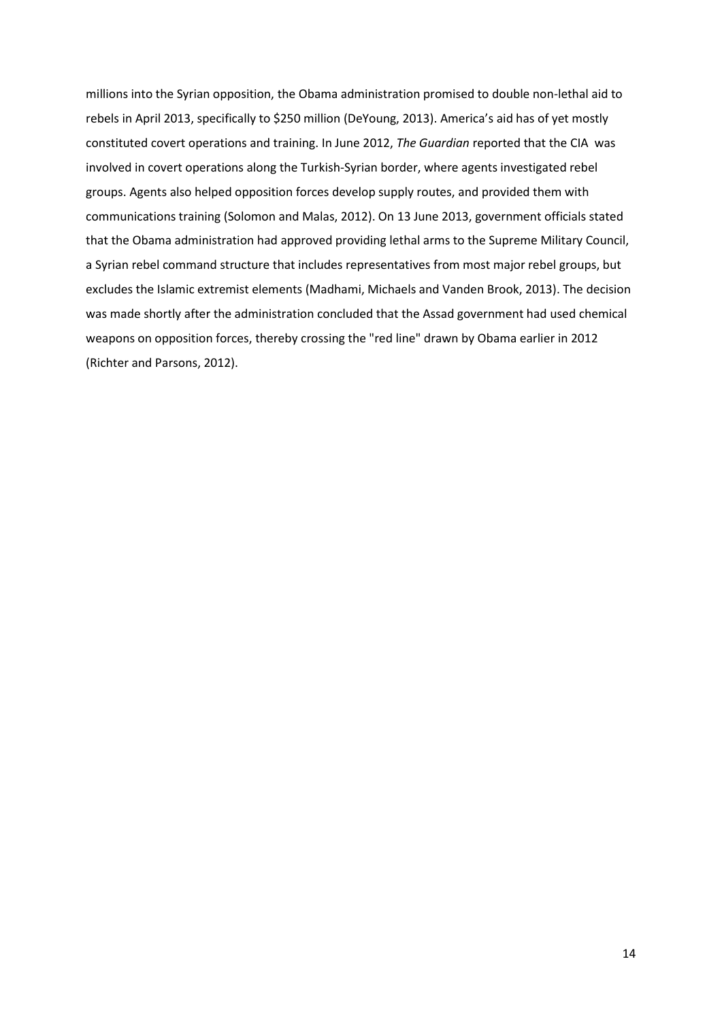millions into the Syrian opposition, the Obama administration promised to double non-lethal aid to rebels in April 2013, specifically to \$250 million (DeYoung, 2013). America's aid has of yet mostly constituted covert operations and training. In June 2012, *The Guardian* reported that the CIA was involved in covert operations along the Turkish-Syrian border, where agents investigated rebel groups. Agents also helped opposition forces develop supply routes, and provided them with communications training (Solomon and Malas, 2012). On 13 June 2013, government officials stated that the Obama administration had approved providing lethal arms to the Supreme Military Council, a Syrian rebel command structure that includes representatives from most major rebel groups, but excludes the Islamic extremist elements (Madhami, Michaels and Vanden Brook, 2013). The decision was made shortly after the administration concluded that the Assad government had used chemical weapons on opposition forces, thereby crossing the "red line" drawn by Obama earlier in 2012 (Richter and Parsons, 2012).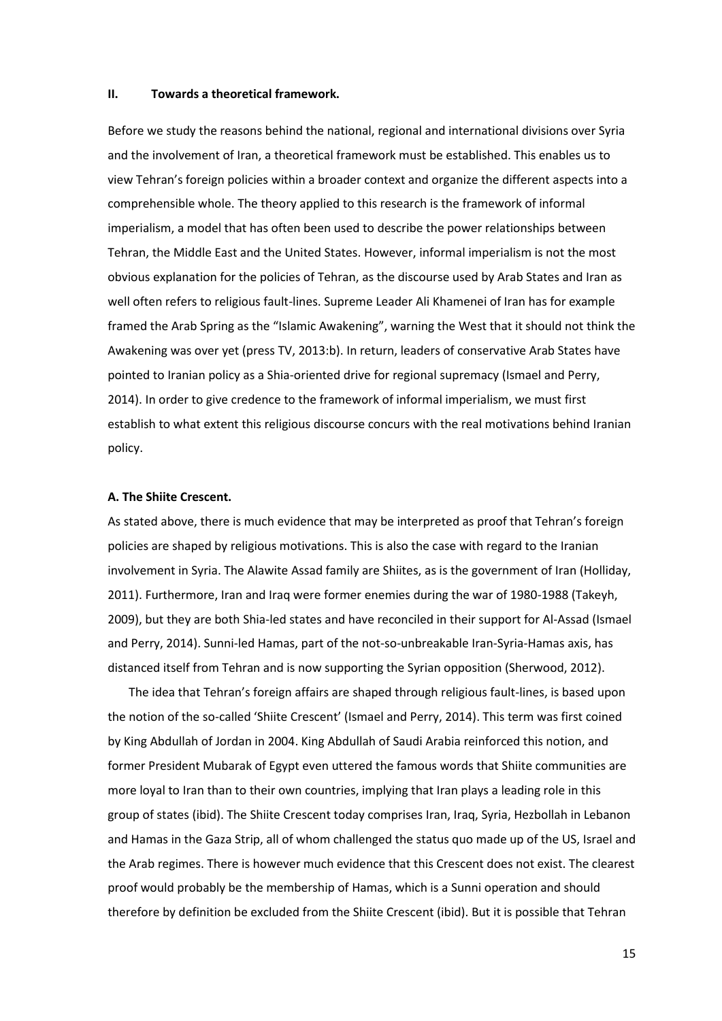# **II. Towards a theoretical framework.**

Before we study the reasons behind the national, regional and international divisions over Syria and the involvement of Iran, a theoretical framework must be established. This enables us to view Tehran's foreign policies within a broader context and organize the different aspects into a comprehensible whole. The theory applied to this research is the framework of informal imperialism, a model that has often been used to describe the power relationships between Tehran, the Middle East and the United States. However, informal imperialism is not the most obvious explanation for the policies of Tehran, as the discourse used by Arab States and Iran as well often refers to religious fault-lines. Supreme Leader Ali Khamenei of Iran has for example framed the Arab Spring as the "Islamic Awakening", warning the West that it should not think the Awakening was over yet (press TV, 2013:b). In return, leaders of conservative Arab States have pointed to Iranian policy as a Shia-oriented drive for regional supremacy (Ismael and Perry, 2014). In order to give credence to the framework of informal imperialism, we must first establish to what extent this religious discourse concurs with the real motivations behind Iranian policy.

## **A. The Shiite Crescent.**

As stated above, there is much evidence that may be interpreted as proof that Tehran's foreign policies are shaped by religious motivations. This is also the case with regard to the Iranian involvement in Syria. The Alawite Assad family are Shiites, as is the government of Iran (Holliday, 2011). Furthermore, Iran and Iraq were former enemies during the war of 1980-1988 (Takeyh, 2009), but they are both Shia-led states and have reconciled in their support for Al-Assad (Ismael and Perry, 2014). Sunni-led Hamas, part of the not-so-unbreakable Iran-Syria-Hamas axis, has distanced itself from Tehran and is now supporting the Syrian opposition (Sherwood, 2012).

The idea that Tehran's foreign affairs are shaped through religious fault-lines, is based upon the notion of the so-called 'Shiite Crescent' (Ismael and Perry, 2014). This term was first coined by King Abdullah of Jordan in 2004. King Abdullah of Saudi Arabia reinforced this notion, and former President Mubarak of Egypt even uttered the famous words that Shiite communities are more loyal to Iran than to their own countries, implying that Iran plays a leading role in this group of states (ibid). The Shiite Crescent today comprises Iran, Iraq, Syria, Hezbollah in Lebanon and Hamas in the Gaza Strip, all of whom challenged the status quo made up of the US, Israel and the Arab regimes. There is however much evidence that this Crescent does not exist. The clearest proof would probably be the membership of Hamas, which is a Sunni operation and should therefore by definition be excluded from the Shiite Crescent (ibid). But it is possible that Tehran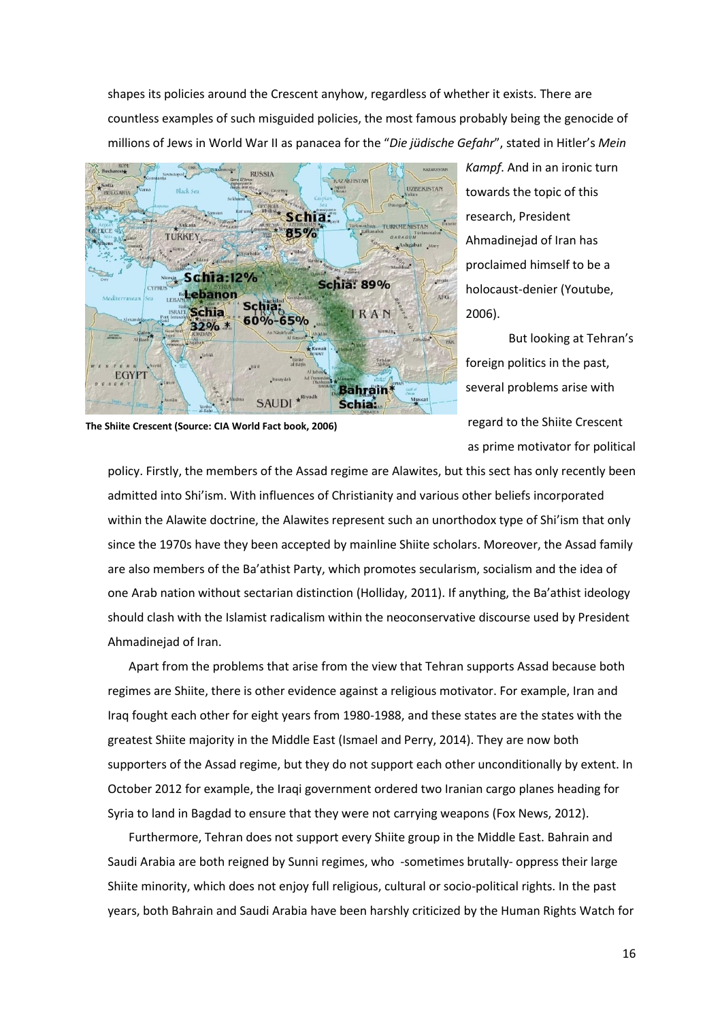shapes its policies around the Crescent anyhow, regardless of whether it exists. There are countless examples of such misguided policies, the most famous probably being the genocide of millions of Jews in World War II as panacea for the "*Die jüdische Gefahr*", stated in Hitler's *Mein* 



*Kampf*. And in an ironic turn towards the topic of this research, President Ahmadinejad of Iran has proclaimed himself to be a holocaust-denier (Youtube, 2006).

But looking at Tehran's foreign politics in the past, several problems arise with

regard to the Shiite Crescent as prime motivator for political

policy. Firstly, the members of the Assad regime are Alawites, but this sect has only recently been admitted into Shi'ism. With influences of Christianity and various other beliefs incorporated within the Alawite doctrine, the Alawites represent such an unorthodox type of Shi'ism that only since the 1970s have they been accepted by mainline Shiite scholars. Moreover, the Assad family are also members of the Ba'athist Party, which promotes secularism, socialism and the idea of one Arab nation without sectarian distinction (Holliday, 2011). If anything, the Ba'athist ideology should clash with the Islamist radicalism within the neoconservative discourse used by President Ahmadinejad of Iran.

Apart from the problems that arise from the view that Tehran supports Assad because both regimes are Shiite, there is other evidence against a religious motivator. For example, Iran and Iraq fought each other for eight years from 1980-1988, and these states are the states with the greatest Shiite majority in the Middle East (Ismael and Perry, 2014). They are now both supporters of the Assad regime, but they do not support each other unconditionally by extent. In October 2012 for example, the Iraqi government ordered two Iranian cargo planes heading for Syria to land in Bagdad to ensure that they were not carrying weapons (Fox News, 2012).

Furthermore, Tehran does not support every Shiite group in the Middle East. Bahrain and Saudi Arabia are both reigned by Sunni regimes, who -sometimes brutally- oppress their large Shiite minority, which does not enjoy full religious, cultural or socio-political rights. In the past years, both Bahrain and Saudi Arabia have been harshly criticized by the Human Rights Watch for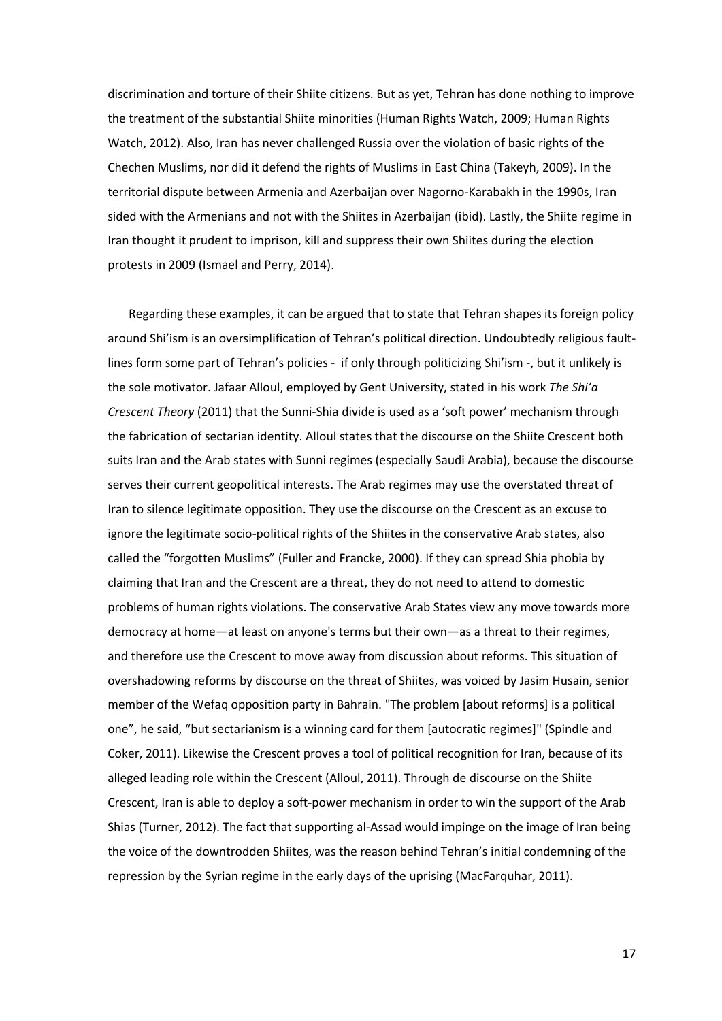discrimination and torture of their Shiite citizens. But as yet, Tehran has done nothing to improve the treatment of the substantial Shiite minorities (Human Rights Watch, 2009; Human Rights Watch, 2012). Also, Iran has never challenged Russia over the violation of basic rights of the Chechen Muslims, nor did it defend the rights of Muslims in East China (Takeyh, 2009). In the territorial dispute between Armenia and Azerbaijan over Nagorno-Karabakh in the 1990s, Iran sided with the Armenians and not with the Shiites in Azerbaijan (ibid). Lastly, the Shiite regime in Iran thought it prudent to imprison, kill and suppress their own Shiites during the election protests in 2009 (Ismael and Perry, 2014).

Regarding these examples, it can be argued that to state that Tehran shapes its foreign policy around Shi'ism is an oversimplification of Tehran's political direction. Undoubtedly religious faultlines form some part of Tehran's policies - if only through politicizing Shi'ism -, but it unlikely is the sole motivator. Jafaar Alloul, employed by Gent University, stated in his work *The Shi'a Crescent Theory* (2011) that the Sunni-Shia divide is used as a 'soft power' mechanism through the fabrication of sectarian identity. Alloul states that the discourse on the Shiite Crescent both suits Iran and the Arab states with Sunni regimes (especially Saudi Arabia), because the discourse serves their current geopolitical interests. The Arab regimes may use the overstated threat of Iran to silence legitimate opposition. They use the discourse on the Crescent as an excuse to ignore the legitimate socio-political rights of the Shiites in the conservative Arab states, also called the "forgotten Muslims" (Fuller and Francke, 2000). If they can spread Shia phobia by claiming that Iran and the Crescent are a threat, they do not need to attend to domestic problems of human rights violations. The conservative Arab States view any move towards more democracy at home—at least on anyone's terms but their own—as a threat to their regimes, and therefore use the Crescent to move away from discussion about reforms. This situation of overshadowing reforms by discourse on the threat of Shiites, was voiced by Jasim Husain, senior member of the Wefaq opposition party in Bahrain. "The problem [about reforms] is a political one", he said, "but sectarianism is a winning card for them [autocratic regimes]" (Spindle and Coker, 2011). Likewise the Crescent proves a tool of political recognition for Iran, because of its alleged leading role within the Crescent (Alloul, 2011). Through de discourse on the Shiite Crescent, Iran is able to deploy a soft-power mechanism in order to win the support of the Arab Shias (Turner, 2012). The fact that supporting al-Assad would impinge on the image of Iran being the voice of the downtrodden Shiites, was the reason behind Tehran's initial condemning of the repression by the Syrian regime in the early days of the uprising (MacFarquhar, 2011).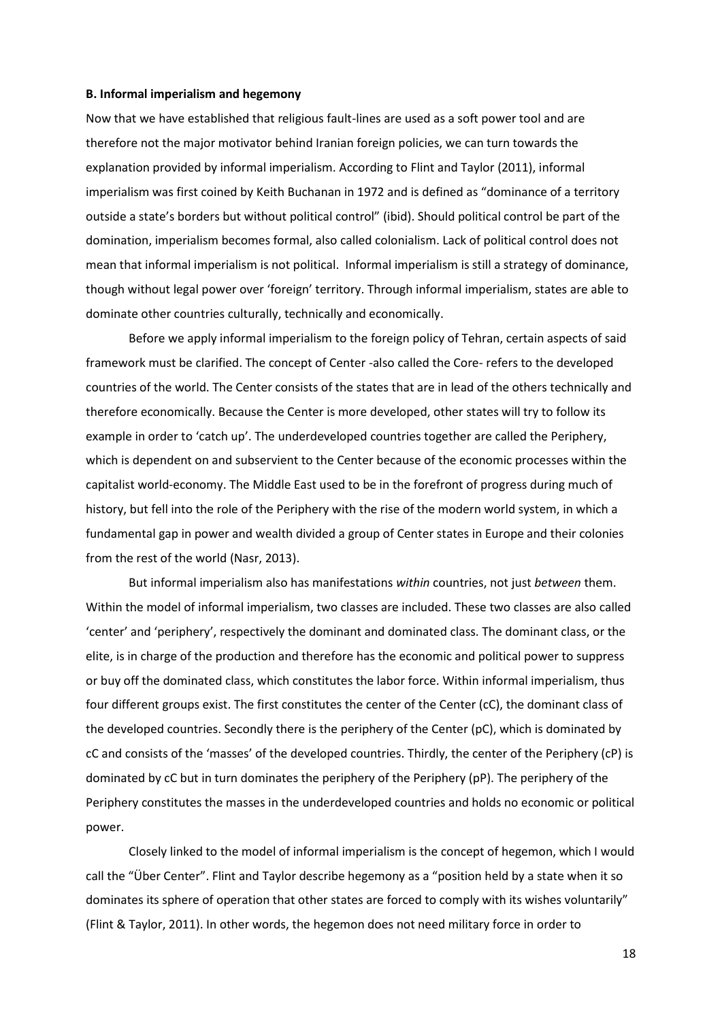#### **B. Informal imperialism and hegemony**

Now that we have established that religious fault-lines are used as a soft power tool and are therefore not the major motivator behind Iranian foreign policies, we can turn towards the explanation provided by informal imperialism. According to Flint and Taylor (2011), informal imperialism was first coined by Keith Buchanan in 1972 and is defined as "dominance of a territory outside a state's borders but without political control" (ibid). Should political control be part of the domination, imperialism becomes formal, also called colonialism. Lack of political control does not mean that informal imperialism is not political. Informal imperialism is still a strategy of dominance, though without legal power over 'foreign' territory. Through informal imperialism, states are able to dominate other countries culturally, technically and economically.

Before we apply informal imperialism to the foreign policy of Tehran, certain aspects of said framework must be clarified. The concept of Center -also called the Core- refers to the developed countries of the world. The Center consists of the states that are in lead of the others technically and therefore economically. Because the Center is more developed, other states will try to follow its example in order to 'catch up'. The underdeveloped countries together are called the Periphery, which is dependent on and subservient to the Center because of the economic processes within the capitalist world-economy. The Middle East used to be in the forefront of progress during much of history, but fell into the role of the Periphery with the rise of the modern world system, in which a fundamental gap in power and wealth divided a group of Center states in Europe and their colonies from the rest of the world (Nasr, 2013).

But informal imperialism also has manifestations *within* countries, not just *between* them. Within the model of informal imperialism, two classes are included. These two classes are also called 'center' and 'periphery', respectively the dominant and dominated class. The dominant class, or the elite, is in charge of the production and therefore has the economic and political power to suppress or buy off the dominated class, which constitutes the labor force. Within informal imperialism, thus four different groups exist. The first constitutes the center of the Center (cC), the dominant class of the developed countries. Secondly there is the periphery of the Center (pC), which is dominated by cC and consists of the 'masses' of the developed countries. Thirdly, the center of the Periphery (cP) is dominated by cC but in turn dominates the periphery of the Periphery (pP). The periphery of the Periphery constitutes the masses in the underdeveloped countries and holds no economic or political power.

Closely linked to the model of informal imperialism is the concept of hegemon, which I would call the "Über Center". Flint and Taylor describe hegemony as a "position held by a state when it so dominates its sphere of operation that other states are forced to comply with its wishes voluntarily" (Flint & Taylor, 2011). In other words, the hegemon does not need military force in order to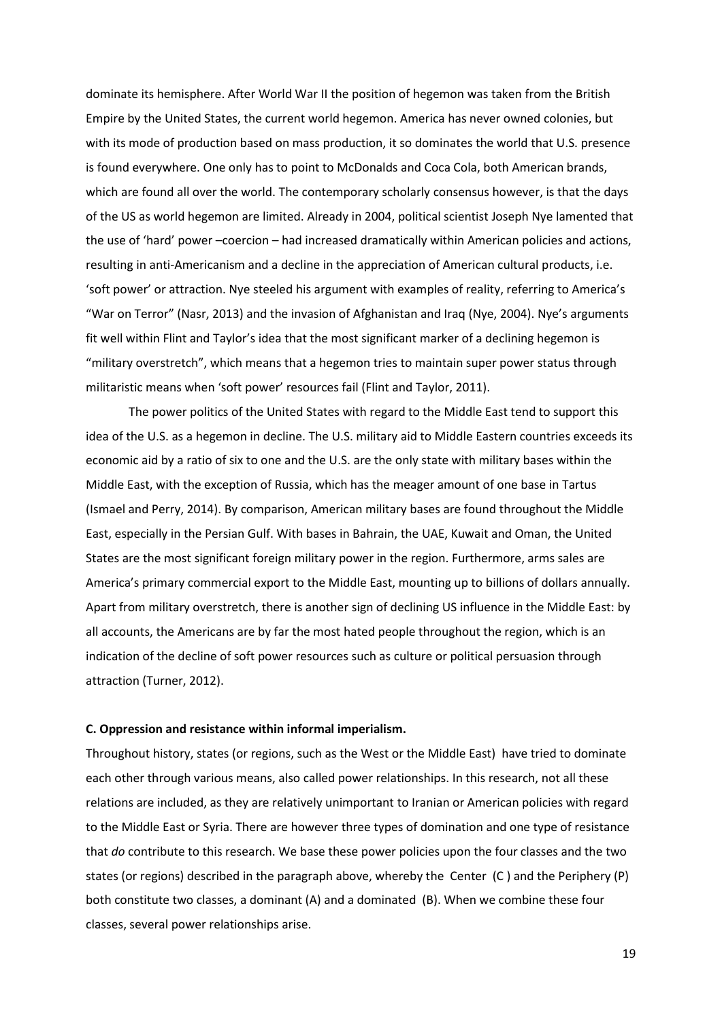dominate its hemisphere. After World War II the position of hegemon was taken from the British Empire by the United States, the current world hegemon. America has never owned colonies, but with its mode of production based on mass production, it so dominates the world that U.S. presence is found everywhere. One only has to point to McDonalds and Coca Cola, both American brands, which are found all over the world. The contemporary scholarly consensus however, is that the days of the US as world hegemon are limited. Already in 2004, political scientist Joseph Nye lamented that the use of 'hard' power –coercion – had increased dramatically within American policies and actions, resulting in anti-Americanism and a decline in the appreciation of American cultural products, i.e. 'soft power' or attraction. Nye steeled his argument with examples of reality, referring to America's "War on Terror" (Nasr, 2013) and the invasion of Afghanistan and Iraq (Nye, 2004). Nye's arguments fit well within Flint and Taylor's idea that the most significant marker of a declining hegemon is "military overstretch", which means that a hegemon tries to maintain super power status through militaristic means when 'soft power' resources fail (Flint and Taylor, 2011).

The power politics of the United States with regard to the Middle East tend to support this idea of the U.S. as a hegemon in decline. The U.S. military aid to Middle Eastern countries exceeds its economic aid by a ratio of six to one and the U.S. are the only state with military bases within the Middle East, with the exception of Russia, which has the meager amount of one base in Tartus (Ismael and Perry, 2014). By comparison, American military bases are found throughout the Middle East, especially in the Persian Gulf. With bases in Bahrain, the UAE, Kuwait and Oman, the United States are the most significant foreign military power in the region. Furthermore, arms sales are America's primary commercial export to the Middle East, mounting up to billions of dollars annually. Apart from military overstretch, there is another sign of declining US influence in the Middle East: by all accounts, the Americans are by far the most hated people throughout the region, which is an indication of the decline of soft power resources such as culture or political persuasion through attraction (Turner, 2012).

## **C. Oppression and resistance within informal imperialism.**

Throughout history, states (or regions, such as the West or the Middle East) have tried to dominate each other through various means, also called power relationships. In this research, not all these relations are included, as they are relatively unimportant to Iranian or American policies with regard to the Middle East or Syria. There are however three types of domination and one type of resistance that *do* contribute to this research. We base these power policies upon the four classes and the two states (or regions) described in the paragraph above, whereby the Center (C ) and the Periphery (P) both constitute two classes, a dominant (A) and a dominated (B). When we combine these four classes, several power relationships arise.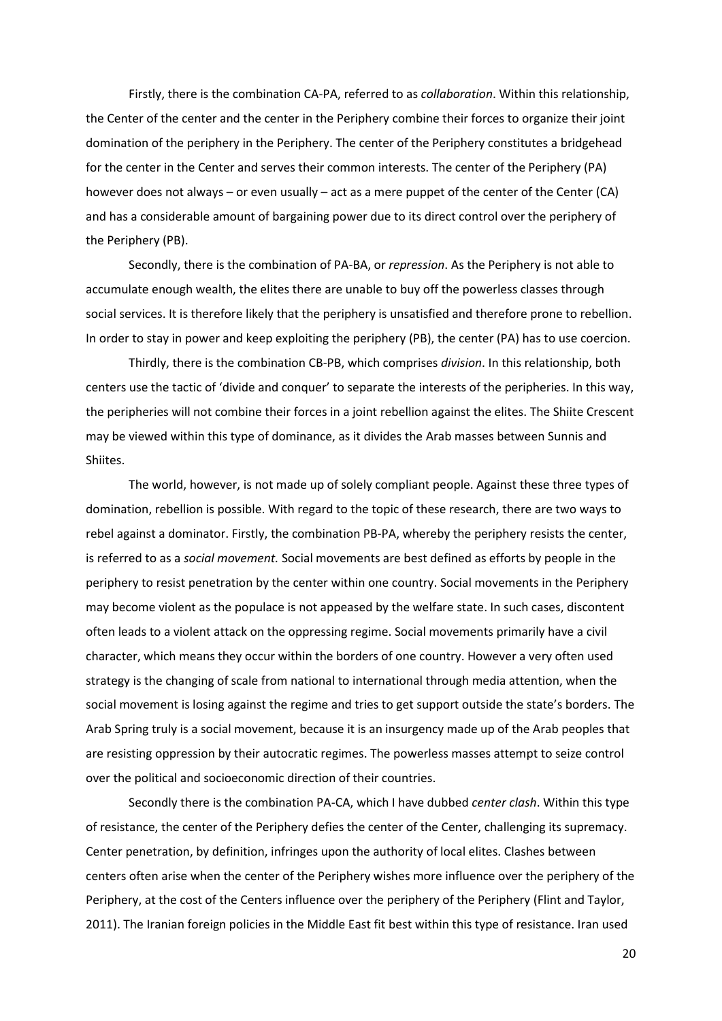Firstly, there is the combination CA-PA, referred to as *collaboration*. Within this relationship, the Center of the center and the center in the Periphery combine their forces to organize their joint domination of the periphery in the Periphery. The center of the Periphery constitutes a bridgehead for the center in the Center and serves their common interests. The center of the Periphery (PA) however does not always – or even usually – act as a mere puppet of the center of the Center (CA) and has a considerable amount of bargaining power due to its direct control over the periphery of the Periphery (PB).

Secondly, there is the combination of PA-BA, or *repression*. As the Periphery is not able to accumulate enough wealth, the elites there are unable to buy off the powerless classes through social services. It is therefore likely that the periphery is unsatisfied and therefore prone to rebellion. In order to stay in power and keep exploiting the periphery (PB), the center (PA) has to use coercion.

Thirdly, there is the combination CB-PB, which comprises *division*. In this relationship, both centers use the tactic of 'divide and conquer' to separate the interests of the peripheries. In this way, the peripheries will not combine their forces in a joint rebellion against the elites. The Shiite Crescent may be viewed within this type of dominance, as it divides the Arab masses between Sunnis and Shiites.

The world, however, is not made up of solely compliant people. Against these three types of domination, rebellion is possible. With regard to the topic of these research, there are two ways to rebel against a dominator. Firstly, the combination PB-PA, whereby the periphery resists the center, is referred to as a *social movement.* Social movements are best defined as efforts by people in the periphery to resist penetration by the center within one country. Social movements in the Periphery may become violent as the populace is not appeased by the welfare state. In such cases, discontent often leads to a violent attack on the oppressing regime. Social movements primarily have a civil character, which means they occur within the borders of one country. However a very often used strategy is the changing of scale from national to international through media attention, when the social movement is losing against the regime and tries to get support outside the state's borders. The Arab Spring truly is a social movement, because it is an insurgency made up of the Arab peoples that are resisting oppression by their autocratic regimes. The powerless masses attempt to seize control over the political and socioeconomic direction of their countries.

Secondly there is the combination PA-CA, which I have dubbed *center clash*. Within this type of resistance, the center of the Periphery defies the center of the Center, challenging its supremacy. Center penetration, by definition, infringes upon the authority of local elites. Clashes between centers often arise when the center of the Periphery wishes more influence over the periphery of the Periphery, at the cost of the Centers influence over the periphery of the Periphery (Flint and Taylor, 2011). The Iranian foreign policies in the Middle East fit best within this type of resistance. Iran used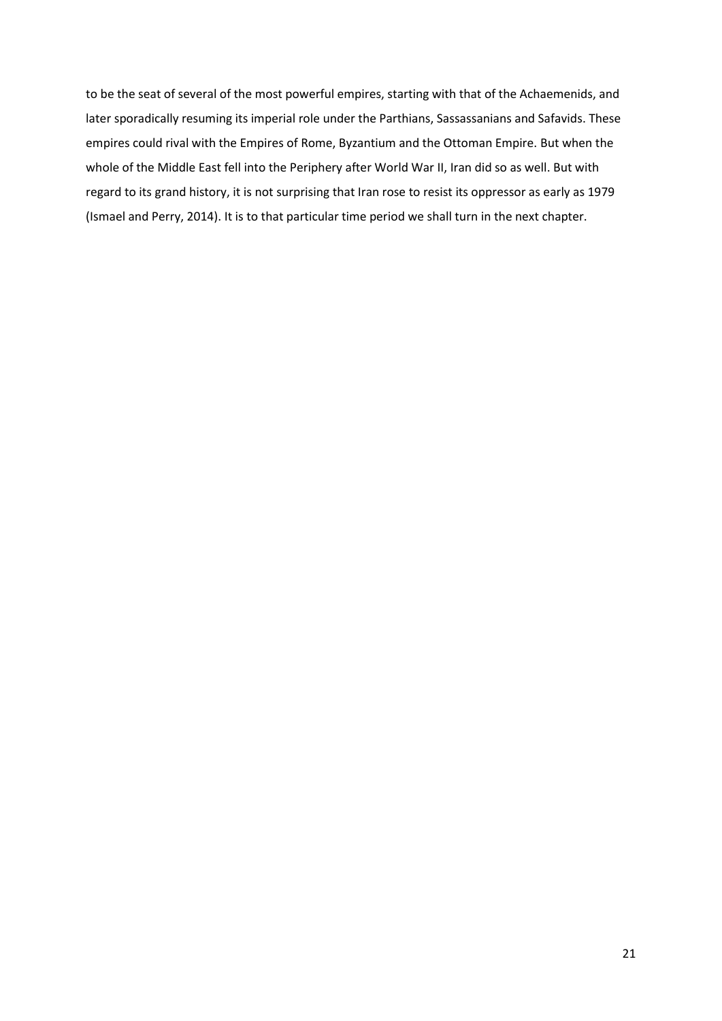to be the seat of several of the most powerful empires, starting with that of the Achaemenids, and later sporadically resuming its imperial role under the Parthians, Sassassanians and Safavids. These empires could rival with the Empires of Rome, Byzantium and the Ottoman Empire. But when the whole of the Middle East fell into the Periphery after World War II, Iran did so as well. But with regard to its grand history, it is not surprising that Iran rose to resist its oppressor as early as 1979 (Ismael and Perry, 2014). It is to that particular time period we shall turn in the next chapter.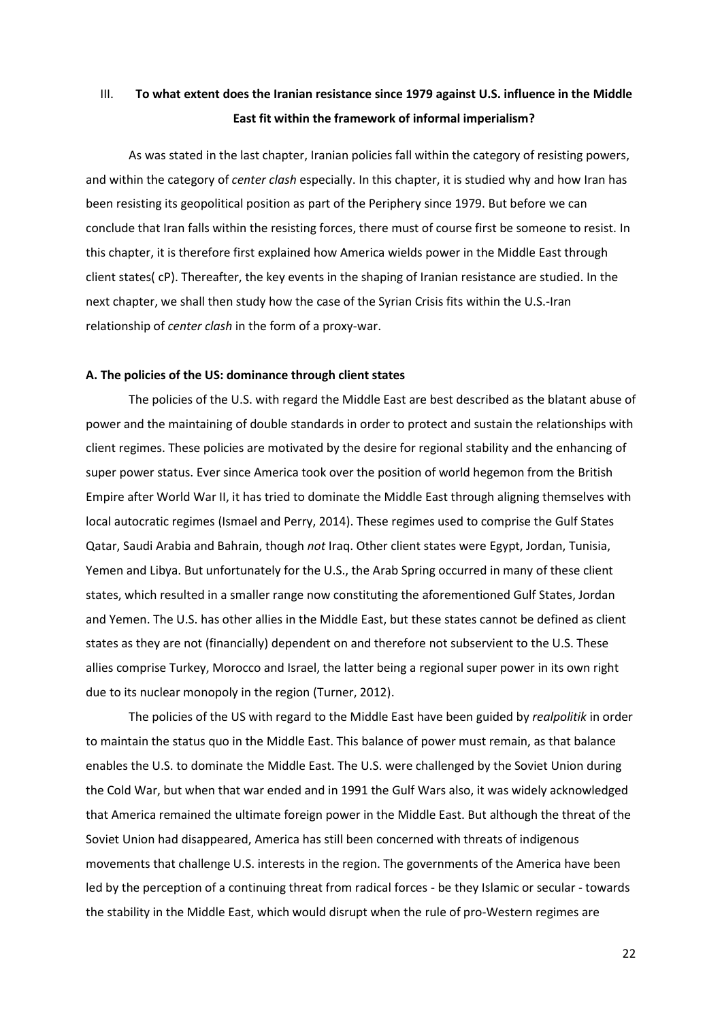# III. **To what extent does the Iranian resistance since 1979 against U.S. influence in the Middle East fit within the framework of informal imperialism?**

As was stated in the last chapter, Iranian policies fall within the category of resisting powers, and within the category of *center clash* especially. In this chapter, it is studied why and how Iran has been resisting its geopolitical position as part of the Periphery since 1979. But before we can conclude that Iran falls within the resisting forces, there must of course first be someone to resist. In this chapter, it is therefore first explained how America wields power in the Middle East through client states( cP). Thereafter, the key events in the shaping of Iranian resistance are studied. In the next chapter, we shall then study how the case of the Syrian Crisis fits within the U.S.-Iran relationship of *center clash* in the form of a proxy-war.

#### **A. The policies of the US: dominance through client states**

The policies of the U.S. with regard the Middle East are best described as the blatant abuse of power and the maintaining of double standards in order to protect and sustain the relationships with client regimes. These policies are motivated by the desire for regional stability and the enhancing of super power status. Ever since America took over the position of world hegemon from the British Empire after World War II, it has tried to dominate the Middle East through aligning themselves with local autocratic regimes (Ismael and Perry, 2014). These regimes used to comprise the Gulf States Qatar, Saudi Arabia and Bahrain, though *not* Iraq. Other client states were Egypt, Jordan, Tunisia, Yemen and Libya. But unfortunately for the U.S., the Arab Spring occurred in many of these client states, which resulted in a smaller range now constituting the aforementioned Gulf States, Jordan and Yemen. The U.S. has other allies in the Middle East, but these states cannot be defined as client states as they are not (financially) dependent on and therefore not subservient to the U.S. These allies comprise Turkey, Morocco and Israel, the latter being a regional super power in its own right due to its nuclear monopoly in the region (Turner, 2012).

The policies of the US with regard to the Middle East have been guided by *realpolitik* in order to maintain the status quo in the Middle East. This balance of power must remain, as that balance enables the U.S. to dominate the Middle East. The U.S. were challenged by the Soviet Union during the Cold War, but when that war ended and in 1991 the Gulf Wars also, it was widely acknowledged that America remained the ultimate foreign power in the Middle East. But although the threat of the Soviet Union had disappeared, America has still been concerned with threats of indigenous movements that challenge U.S. interests in the region. The governments of the America have been led by the perception of a continuing threat from radical forces - be they Islamic or secular - towards the stability in the Middle East, which would disrupt when the rule of pro-Western regimes are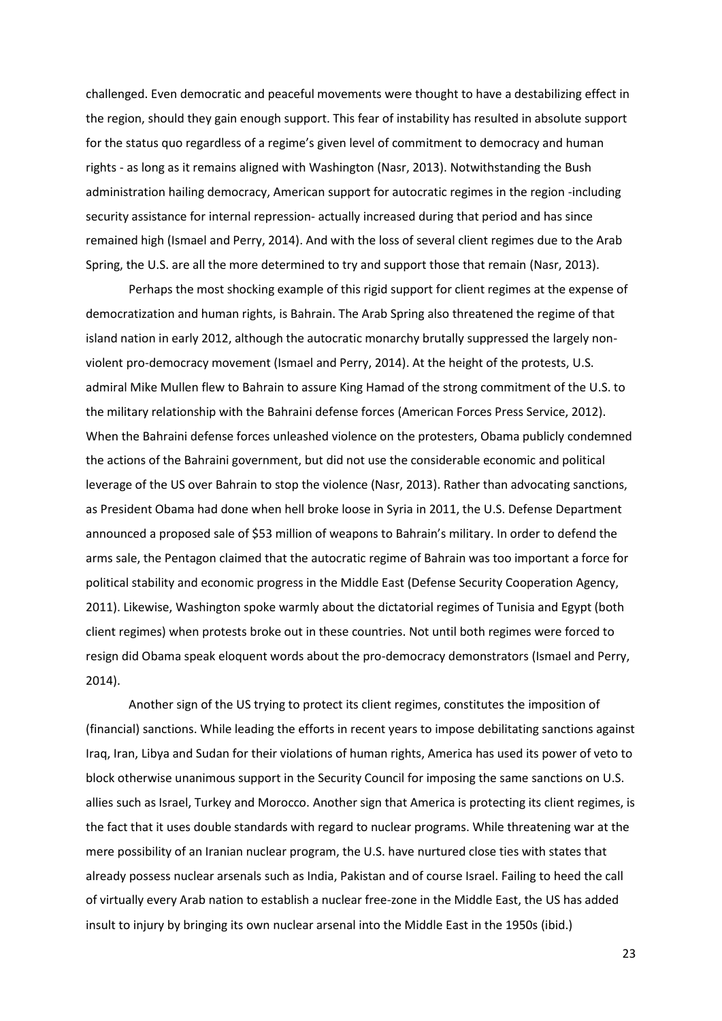challenged. Even democratic and peaceful movements were thought to have a destabilizing effect in the region, should they gain enough support. This fear of instability has resulted in absolute support for the status quo regardless of a regime's given level of commitment to democracy and human rights - as long as it remains aligned with Washington (Nasr, 2013). Notwithstanding the Bush administration hailing democracy, American support for autocratic regimes in the region -including security assistance for internal repression- actually increased during that period and has since remained high (Ismael and Perry, 2014). And with the loss of several client regimes due to the Arab Spring, the U.S. are all the more determined to try and support those that remain (Nasr, 2013).

Perhaps the most shocking example of this rigid support for client regimes at the expense of democratization and human rights, is Bahrain. The Arab Spring also threatened the regime of that island nation in early 2012, although the autocratic monarchy brutally suppressed the largely nonviolent pro-democracy movement (Ismael and Perry, 2014). At the height of the protests, U.S. admiral Mike Mullen flew to Bahrain to assure King Hamad of the strong commitment of the U.S. to the military relationship with the Bahraini defense forces (American Forces Press Service, 2012). When the Bahraini defense forces unleashed violence on the protesters, Obama publicly condemned the actions of the Bahraini government, but did not use the considerable economic and political leverage of the US over Bahrain to stop the violence (Nasr, 2013). Rather than advocating sanctions, as President Obama had done when hell broke loose in Syria in 2011, the U.S. Defense Department announced a proposed sale of \$53 million of weapons to Bahrain's military. In order to defend the arms sale, the Pentagon claimed that the autocratic regime of Bahrain was too important a force for political stability and economic progress in the Middle East (Defense Security Cooperation Agency, 2011). Likewise, Washington spoke warmly about the dictatorial regimes of Tunisia and Egypt (both client regimes) when protests broke out in these countries. Not until both regimes were forced to resign did Obama speak eloquent words about the pro-democracy demonstrators (Ismael and Perry, 2014).

Another sign of the US trying to protect its client regimes, constitutes the imposition of (financial) sanctions. While leading the efforts in recent years to impose debilitating sanctions against Iraq, Iran, Libya and Sudan for their violations of human rights, America has used its power of veto to block otherwise unanimous support in the Security Council for imposing the same sanctions on U.S. allies such as Israel, Turkey and Morocco. Another sign that America is protecting its client regimes, is the fact that it uses double standards with regard to nuclear programs. While threatening war at the mere possibility of an Iranian nuclear program, the U.S. have nurtured close ties with states that already possess nuclear arsenals such as India, Pakistan and of course Israel. Failing to heed the call of virtually every Arab nation to establish a nuclear free-zone in the Middle East, the US has added insult to injury by bringing its own nuclear arsenal into the Middle East in the 1950s (ibid.)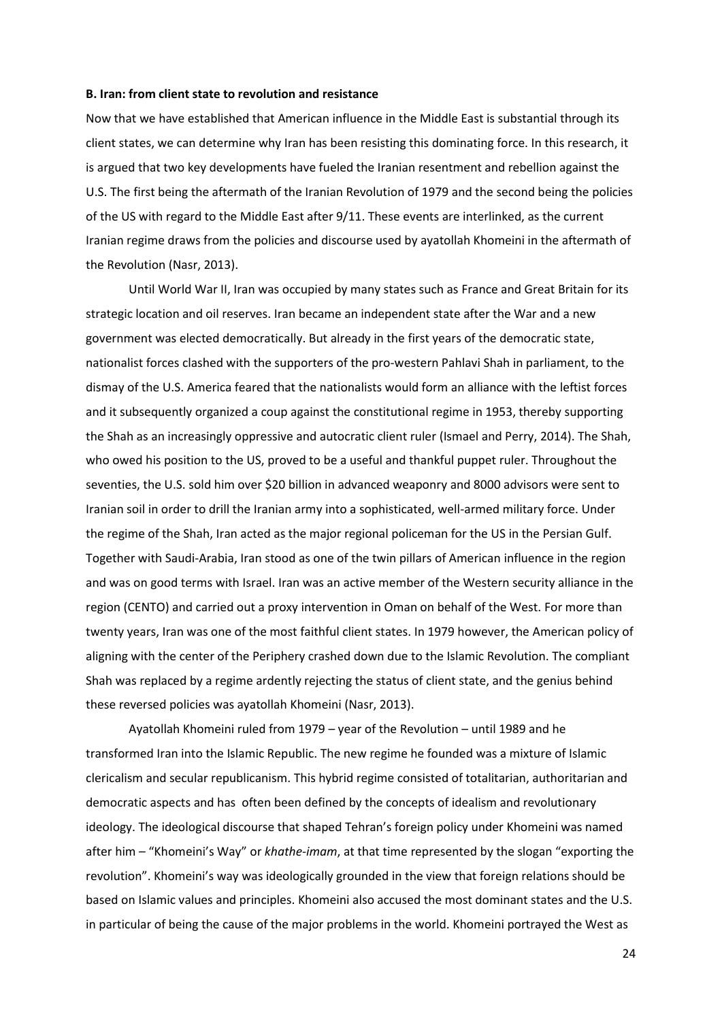#### **B. Iran: from client state to revolution and resistance**

Now that we have established that American influence in the Middle East is substantial through its client states, we can determine why Iran has been resisting this dominating force. In this research, it is argued that two key developments have fueled the Iranian resentment and rebellion against the U.S. The first being the aftermath of the Iranian Revolution of 1979 and the second being the policies of the US with regard to the Middle East after 9/11. These events are interlinked, as the current Iranian regime draws from the policies and discourse used by ayatollah Khomeini in the aftermath of the Revolution (Nasr, 2013).

Until World War II, Iran was occupied by many states such as France and Great Britain for its strategic location and oil reserves. Iran became an independent state after the War and a new government was elected democratically. But already in the first years of the democratic state, nationalist forces clashed with the supporters of the pro-western Pahlavi Shah in parliament, to the dismay of the U.S. America feared that the nationalists would form an alliance with the leftist forces and it subsequently organized a coup against the constitutional regime in 1953, thereby supporting the Shah as an increasingly oppressive and autocratic client ruler (Ismael and Perry, 2014). The Shah, who owed his position to the US, proved to be a useful and thankful puppet ruler. Throughout the seventies, the U.S. sold him over \$20 billion in advanced weaponry and 8000 advisors were sent to Iranian soil in order to drill the Iranian army into a sophisticated, well-armed military force. Under the regime of the Shah, Iran acted as the major regional policeman for the US in the Persian Gulf. Together with Saudi-Arabia, Iran stood as one of the twin pillars of American influence in the region and was on good terms with Israel. Iran was an active member of the Western security alliance in the region (CENTO) and carried out a proxy intervention in Oman on behalf of the West. For more than twenty years, Iran was one of the most faithful client states. In 1979 however, the American policy of aligning with the center of the Periphery crashed down due to the Islamic Revolution. The compliant Shah was replaced by a regime ardently rejecting the status of client state, and the genius behind these reversed policies was ayatollah Khomeini (Nasr, 2013).

Ayatollah Khomeini ruled from 1979 – year of the Revolution – until 1989 and he transformed Iran into the Islamic Republic. The new regime he founded was a mixture of Islamic clericalism and secular republicanism. This hybrid regime consisted of totalitarian, authoritarian and democratic aspects and has often been defined by the concepts of idealism and revolutionary ideology. The ideological discourse that shaped Tehran's foreign policy under Khomeini was named after him – "Khomeini's Way" or *khathe-imam*, at that time represented by the slogan "exporting the revolution". Khomeini's way was ideologically grounded in the view that foreign relations should be based on Islamic values and principles. Khomeini also accused the most dominant states and the U.S. in particular of being the cause of the major problems in the world. Khomeini portrayed the West as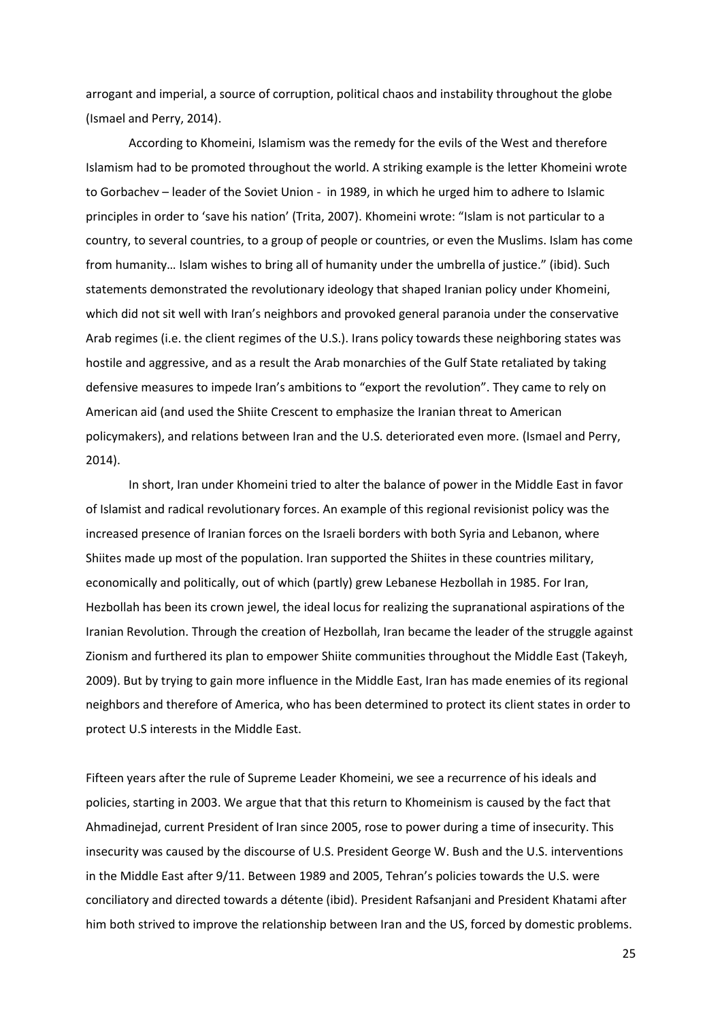arrogant and imperial, a source of corruption, political chaos and instability throughout the globe (Ismael and Perry, 2014).

According to Khomeini, Islamism was the remedy for the evils of the West and therefore Islamism had to be promoted throughout the world. A striking example is the letter Khomeini wrote to Gorbachev – leader of the Soviet Union - in 1989, in which he urged him to adhere to Islamic principles in order to 'save his nation' (Trita, 2007). Khomeini wrote: "Islam is not particular to a country, to several countries, to a group of people or countries, or even the Muslims. Islam has come from humanity… Islam wishes to bring all of humanity under the umbrella of justice." (ibid). Such statements demonstrated the revolutionary ideology that shaped Iranian policy under Khomeini, which did not sit well with Iran's neighbors and provoked general paranoia under the conservative Arab regimes (i.e. the client regimes of the U.S.). Irans policy towards these neighboring states was hostile and aggressive, and as a result the Arab monarchies of the Gulf State retaliated by taking defensive measures to impede Iran's ambitions to "export the revolution". They came to rely on American aid (and used the Shiite Crescent to emphasize the Iranian threat to American policymakers), and relations between Iran and the U.S. deteriorated even more. (Ismael and Perry, 2014).

In short, Iran under Khomeini tried to alter the balance of power in the Middle East in favor of Islamist and radical revolutionary forces. An example of this regional revisionist policy was the increased presence of Iranian forces on the Israeli borders with both Syria and Lebanon, where Shiites made up most of the population. Iran supported the Shiites in these countries military, economically and politically, out of which (partly) grew Lebanese Hezbollah in 1985. For Iran, Hezbollah has been its crown jewel, the ideal locus for realizing the supranational aspirations of the Iranian Revolution. Through the creation of Hezbollah, Iran became the leader of the struggle against Zionism and furthered its plan to empower Shiite communities throughout the Middle East (Takeyh, 2009). But by trying to gain more influence in the Middle East, Iran has made enemies of its regional neighbors and therefore of America, who has been determined to protect its client states in order to protect U.S interests in the Middle East.

Fifteen years after the rule of Supreme Leader Khomeini, we see a recurrence of his ideals and policies, starting in 2003. We argue that that this return to Khomeinism is caused by the fact that Ahmadinejad, current President of Iran since 2005, rose to power during a time of insecurity. This insecurity was caused by the discourse of U.S. President George W. Bush and the U.S. interventions in the Middle East after 9/11. Between 1989 and 2005, Tehran's policies towards the U.S. were conciliatory and directed towards a détente (ibid). President Rafsanjani and President Khatami after him both strived to improve the relationship between Iran and the US, forced by domestic problems.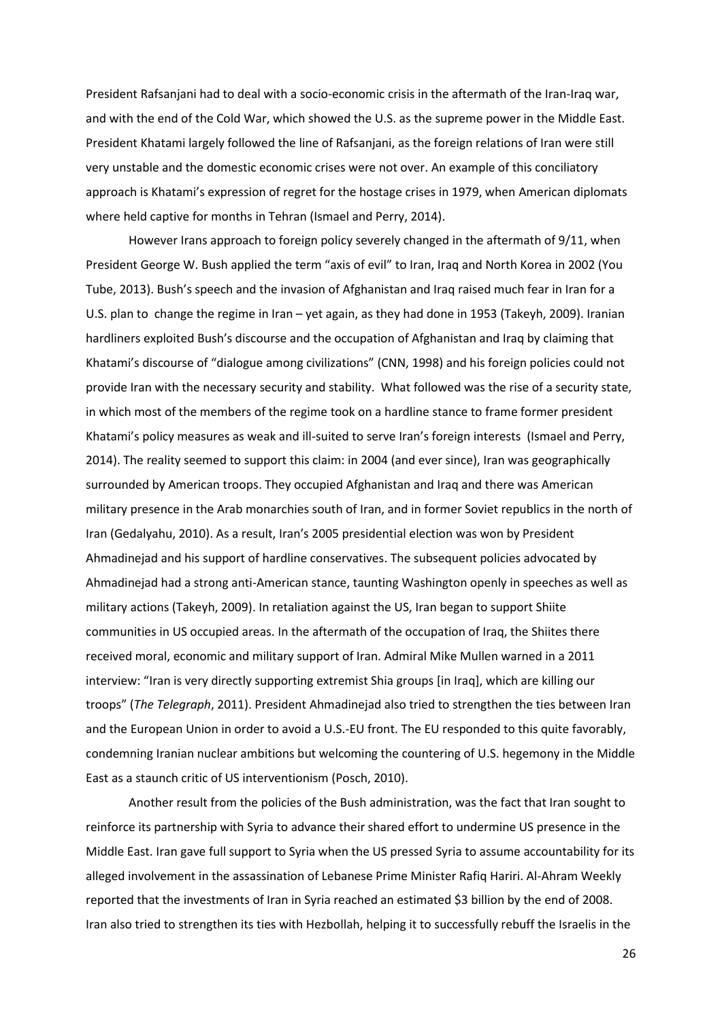President Rafsanjani had to deal with a socio-economic crisis in the aftermath of the Iran-Iraq war, and with the end of the Cold War, which showed the U.S. as the supreme power in the Middle East. President Khatami largely followed the line of Rafsanjani, as the foreign relations of Iran were still very unstable and the domestic economic crises were not over. An example of this conciliatory approach is Khatami's expression of regret for the hostage crises in 1979, when American diplomats where held captive for months in Tehran (Ismael and Perry, 2014).

However Irans approach to foreign policy severely changed in the aftermath of 9/11, when President George W. Bush applied the term "axis of evil" to Iran, Iraq and North Korea in 2002 (You Tube, 2013). Bush's speech and the invasion of Afghanistan and Iraq raised much fear in Iran for a U.S. plan to change the regime in Iran – yet again, as they had done in 1953 (Takeyh, 2009). Iranian hardliners exploited Bush's discourse and the occupation of Afghanistan and Iraq by claiming that Khatami's discourse of "dialogue among civilizations" (CNN, 1998) and his foreign policies could not provide Iran with the necessary security and stability. What followed was the rise of a security state, in which most of the members of the regime took on a hardline stance to frame former president Khatami's policy measures as weak and ill-suited to serve Iran's foreign interests (Ismael and Perry, 2014). The reality seemed to support this claim: in 2004 (and ever since), Iran was geographically surrounded by American troops. They occupied Afghanistan and Iraq and there was American military presence in the Arab monarchies south of Iran, and in former Soviet republics in the north of Iran (Gedalyahu, 2010). As a result, Iran's 2005 presidential election was won by President Ahmadinejad and his support of hardline conservatives. The subsequent policies advocated by Ahmadinejad had a strong anti-American stance, taunting Washington openly in speeches as well as military actions (Takeyh, 2009). In retaliation against the US, Iran began to support Shiite communities in US occupied areas. In the aftermath of the occupation of Iraq, the Shiites there received moral, economic and military support of Iran. Admiral Mike Mullen warned in a 2011 interview: "Iran is very directly supporting extremist Shia groups [in Iraq], which are killing our troops" (*The Telegraph*, 2011). President Ahmadinejad also tried to strengthen the ties between Iran and the European Union in order to avoid a U.S.-EU front. The EU responded to this quite favorably, condemning Iranian nuclear ambitions but welcoming the countering of U.S. hegemony in the Middle East as a staunch critic of US interventionism (Posch, 2010).

Another result from the policies of the Bush administration, was the fact that Iran sought to reinforce its partnership with Syria to advance their shared effort to undermine US presence in the Middle East. Iran gave full support to Syria when the US pressed Syria to assume accountability for its alleged involvement in the assassination of Lebanese Prime Minister Rafiq Hariri. Al-Ahram Weekly reported that the investments of Iran in Syria reached an estimated \$3 billion by the end of 2008. Iran also tried to strengthen its ties with Hezbollah, helping it to successfully rebuff the Israelis in the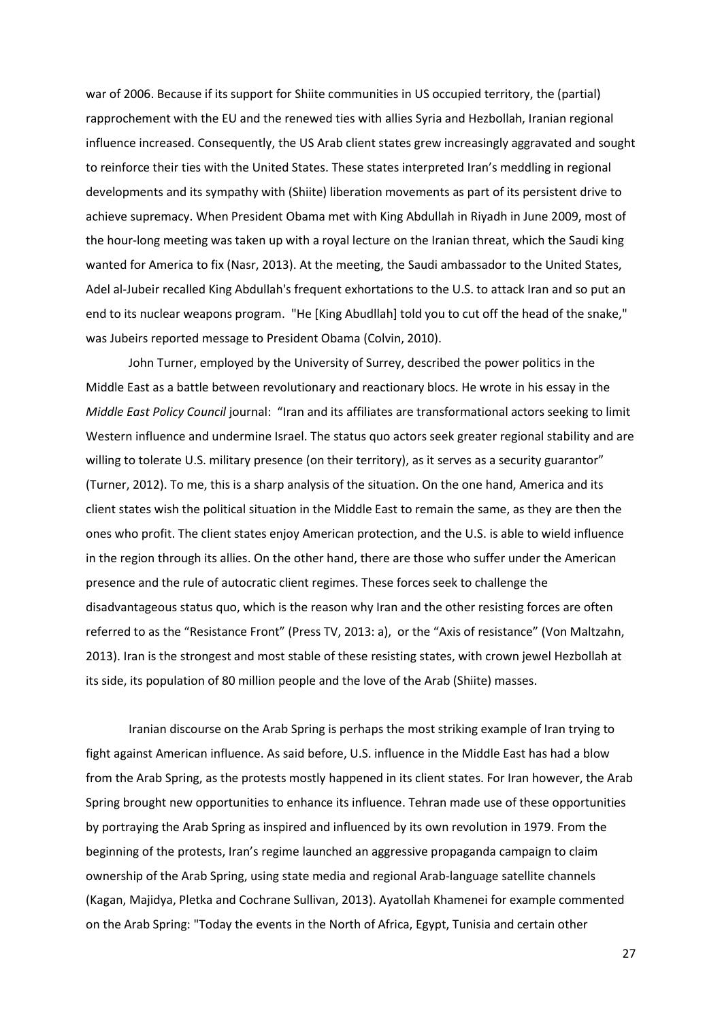war of 2006. Because if its support for Shiite communities in US occupied territory, the (partial) rapprochement with the EU and the renewed ties with allies Syria and Hezbollah, Iranian regional influence increased. Consequently, the US Arab client states grew increasingly aggravated and sought to reinforce their ties with the United States. These states interpreted Iran's meddling in regional developments and its sympathy with (Shiite) liberation movements as part of its persistent drive to achieve supremacy. When President Obama met with King Abdullah in Riyadh in June 2009, most of the hour-long meeting was taken up with a royal lecture on the Iranian threat, which the Saudi king wanted for America to fix (Nasr, 2013). At the meeting, the Saudi ambassador to the United States, Adel al-Jubeir recalled King Abdullah's frequent exhortations to the U.S. to attack Iran and so put an end to its nuclear weapons program. "He [King Abudllah] told you to cut off the head of the snake," was Jubeirs reported message to President Obama (Colvin, 2010).

John Turner, employed by the University of Surrey, described the power politics in the Middle East as a battle between revolutionary and reactionary blocs. He wrote in his essay in the *Middle East Policy Council* journal: "Iran and its affiliates are transformational actors seeking to limit Western influence and undermine Israel. The status quo actors seek greater regional stability and are willing to tolerate U.S. military presence (on their territory), as it serves as a security guarantor" (Turner, 2012). To me, this is a sharp analysis of the situation. On the one hand, America and its client states wish the political situation in the Middle East to remain the same, as they are then the ones who profit. The client states enjoy American protection, and the U.S. is able to wield influence in the region through its allies. On the other hand, there are those who suffer under the American presence and the rule of autocratic client regimes. These forces seek to challenge the disadvantageous status quo, which is the reason why Iran and the other resisting forces are often referred to as the "Resistance Front" (Press TV, 2013: a), or the "Axis of resistance" (Von Maltzahn, 2013). Iran is the strongest and most stable of these resisting states, with crown jewel Hezbollah at its side, its population of 80 million people and the love of the Arab (Shiite) masses.

Iranian discourse on the Arab Spring is perhaps the most striking example of Iran trying to fight against American influence. As said before, U.S. influence in the Middle East has had a blow from the Arab Spring, as the protests mostly happened in its client states. For Iran however, the Arab Spring brought new opportunities to enhance its influence. Tehran made use of these opportunities by portraying the Arab Spring as inspired and influenced by its own revolution in 1979. From the beginning of the protests, Iran's regime launched an aggressive propaganda campaign to claim ownership of the Arab Spring, using state media and regional Arab-language satellite channels (Kagan, Majidya, Pletka and Cochrane Sullivan, 2013). Ayatollah Khamenei for example commented on the Arab Spring: "Today the events in the North of Africa, Egypt, Tunisia and certain other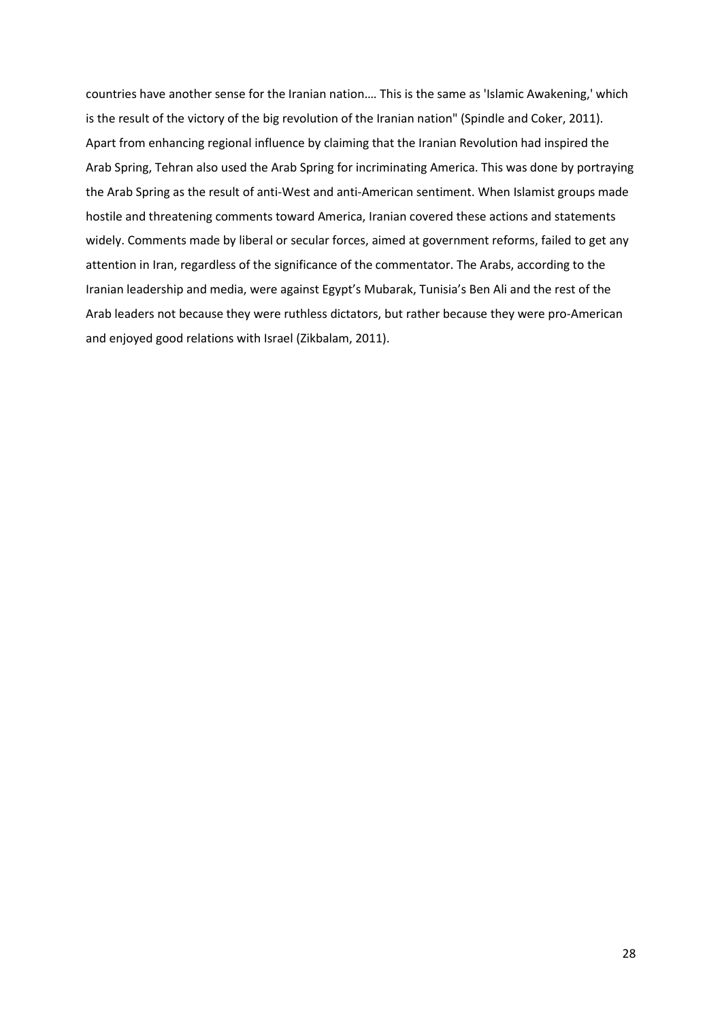countries have another sense for the Iranian nation.… This is the same as 'Islamic Awakening,' which is the result of the victory of the big revolution of the Iranian nation" (Spindle and Coker, 2011). Apart from enhancing regional influence by claiming that the Iranian Revolution had inspired the Arab Spring, Tehran also used the Arab Spring for incriminating America. This was done by portraying the Arab Spring as the result of anti-West and anti-American sentiment. When Islamist groups made hostile and threatening comments toward America, Iranian covered these actions and statements widely. Comments made by liberal or secular forces, aimed at government reforms, failed to get any attention in Iran, regardless of the significance of the commentator. The Arabs, according to the Iranian leadership and media, were against Egypt's Mubarak, Tunisia's Ben Ali and the rest of the Arab leaders not because they were ruthless dictators, but rather because they were pro-American and enjoyed good relations with Israel (Zikbalam, 2011).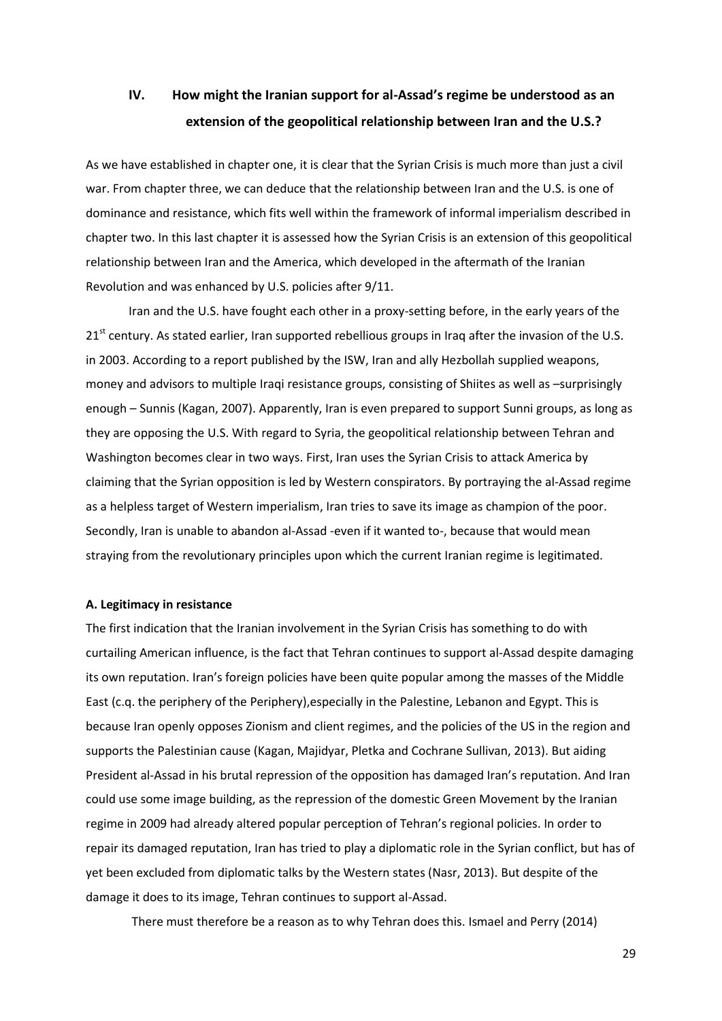# **IV. How might the Iranian support for al-Assad's regime be understood as an extension of the geopolitical relationship between Iran and the U.S.?**

As we have established in chapter one, it is clear that the Syrian Crisis is much more than just a civil war. From chapter three, we can deduce that the relationship between Iran and the U.S. is one of dominance and resistance, which fits well within the framework of informal imperialism described in chapter two. In this last chapter it is assessed how the Syrian Crisis is an extension of this geopolitical relationship between Iran and the America, which developed in the aftermath of the Iranian Revolution and was enhanced by U.S. policies after 9/11.

Iran and the U.S. have fought each other in a proxy-setting before, in the early years of the  $21<sup>st</sup>$  century. As stated earlier, Iran supported rebellious groups in Iraq after the invasion of the U.S. in 2003. According to a report published by the ISW, Iran and ally Hezbollah supplied weapons, money and advisors to multiple Iraqi resistance groups, consisting of Shiites as well as –surprisingly enough – Sunnis (Kagan, 2007). Apparently, Iran is even prepared to support Sunni groups, as long as they are opposing the U.S. With regard to Syria, the geopolitical relationship between Tehran and Washington becomes clear in two ways. First, Iran uses the Syrian Crisis to attack America by claiming that the Syrian opposition is led by Western conspirators. By portraying the al-Assad regime as a helpless target of Western imperialism, Iran tries to save its image as champion of the poor. Secondly, Iran is unable to abandon al-Assad -even if it wanted to-, because that would mean straying from the revolutionary principles upon which the current Iranian regime is legitimated.

### **A. Legitimacy in resistance**

The first indication that the Iranian involvement in the Syrian Crisis has something to do with curtailing American influence, is the fact that Tehran continues to support al-Assad despite damaging its own reputation. Iran's foreign policies have been quite popular among the masses of the Middle East (c.q. the periphery of the Periphery),especially in the Palestine, Lebanon and Egypt. This is because Iran openly opposes Zionism and client regimes, and the policies of the US in the region and supports the Palestinian cause (Kagan, Majidyar, Pletka and Cochrane Sullivan, 2013). But aiding President al-Assad in his brutal repression of the opposition has damaged Iran's reputation. And Iran could use some image building, as the repression of the domestic Green Movement by the Iranian regime in 2009 had already altered popular perception of Tehran's regional policies. In order to repair its damaged reputation, Iran has tried to play a diplomatic role in the Syrian conflict, but has of yet been excluded from diplomatic talks by the Western states (Nasr, 2013). But despite of the damage it does to its image, Tehran continues to support al-Assad.

There must therefore be a reason as to why Tehran does this. Ismael and Perry (2014)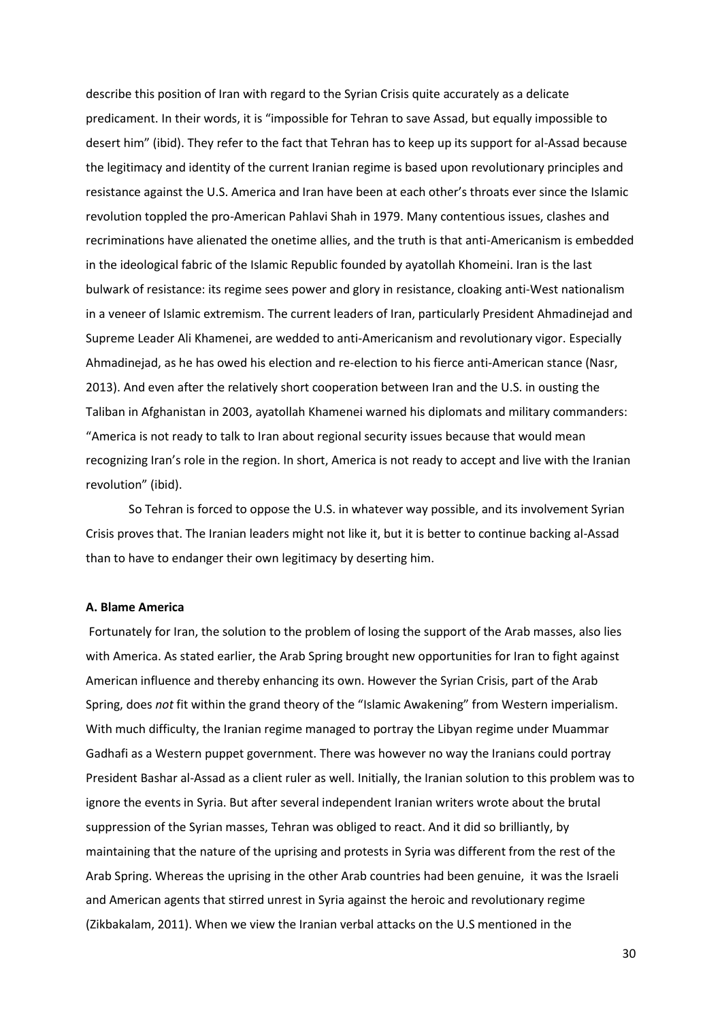describe this position of Iran with regard to the Syrian Crisis quite accurately as a delicate predicament. In their words, it is "impossible for Tehran to save Assad, but equally impossible to desert him" (ibid). They refer to the fact that Tehran has to keep up its support for al-Assad because the legitimacy and identity of the current Iranian regime is based upon revolutionary principles and resistance against the U.S. America and Iran have been at each other's throats ever since the Islamic revolution toppled the pro-American Pahlavi Shah in 1979. Many contentious issues, clashes and recriminations have alienated the onetime allies, and the truth is that anti-Americanism is embedded in the ideological fabric of the Islamic Republic founded by ayatollah Khomeini. Iran is the last bulwark of resistance: its regime sees power and glory in resistance, cloaking anti-West nationalism in a veneer of Islamic extremism. The current leaders of Iran, particularly President Ahmadinejad and Supreme Leader Ali Khamenei, are wedded to anti-Americanism and revolutionary vigor. Especially Ahmadinejad, as he has owed his election and re-election to his fierce anti-American stance (Nasr, 2013). And even after the relatively short cooperation between Iran and the U.S. in ousting the Taliban in Afghanistan in 2003, ayatollah Khamenei warned his diplomats and military commanders: "America is not ready to talk to Iran about regional security issues because that would mean recognizing Iran's role in the region. In short, America is not ready to accept and live with the Iranian revolution" (ibid).

So Tehran is forced to oppose the U.S. in whatever way possible, and its involvement Syrian Crisis proves that. The Iranian leaders might not like it, but it is better to continue backing al-Assad than to have to endanger their own legitimacy by deserting him.

# **A. Blame America**

Fortunately for Iran, the solution to the problem of losing the support of the Arab masses, also lies with America. As stated earlier, the Arab Spring brought new opportunities for Iran to fight against American influence and thereby enhancing its own. However the Syrian Crisis, part of the Arab Spring, does *not* fit within the grand theory of the "Islamic Awakening" from Western imperialism. With much difficulty, the Iranian regime managed to portray the Libyan regime under Muammar Gadhafi as a Western puppet government. There was however no way the Iranians could portray President Bashar al-Assad as a client ruler as well. Initially, the Iranian solution to this problem was to ignore the events in Syria. But after several independent Iranian writers wrote about the brutal suppression of the Syrian masses, Tehran was obliged to react. And it did so brilliantly, by maintaining that the nature of the uprising and protests in Syria was different from the rest of the Arab Spring. Whereas the uprising in the other Arab countries had been genuine, it was the Israeli and American agents that stirred unrest in Syria against the heroic and revolutionary regime (Zikbakalam, 2011). When we view the Iranian verbal attacks on the U.S mentioned in the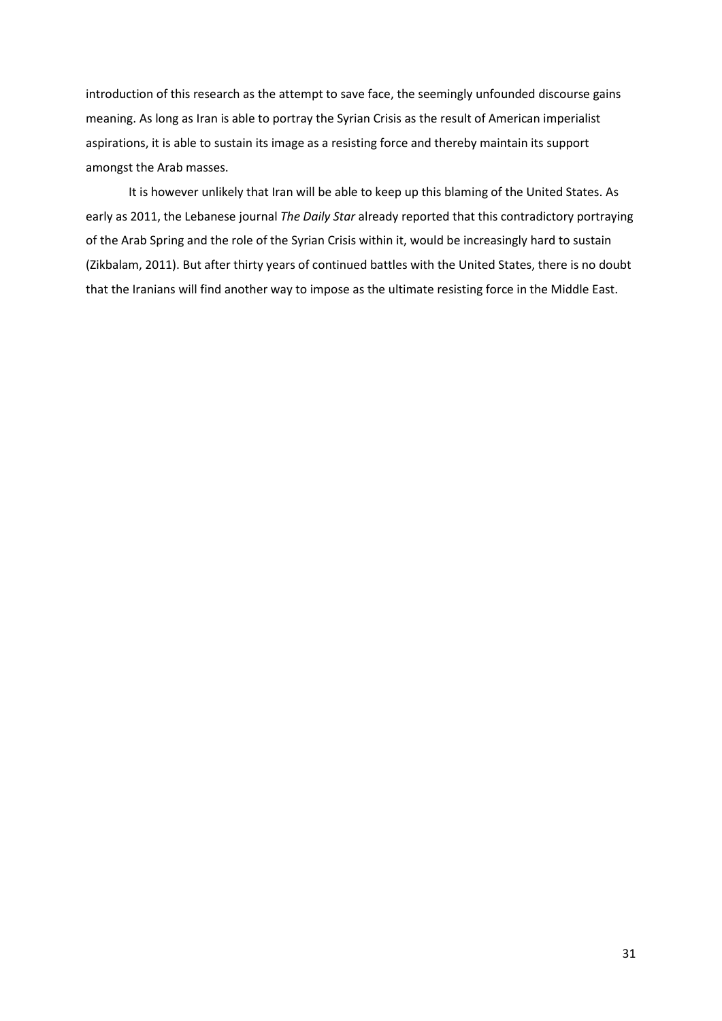introduction of this research as the attempt to save face, the seemingly unfounded discourse gains meaning. As long as Iran is able to portray the Syrian Crisis as the result of American imperialist aspirations, it is able to sustain its image as a resisting force and thereby maintain its support amongst the Arab masses.

It is however unlikely that Iran will be able to keep up this blaming of the United States. As early as 2011, the Lebanese journal *The Daily Star* already reported that this contradictory portraying of the Arab Spring and the role of the Syrian Crisis within it, would be increasingly hard to sustain (Zikbalam, 2011). But after thirty years of continued battles with the United States, there is no doubt that the Iranians will find another way to impose as the ultimate resisting force in the Middle East.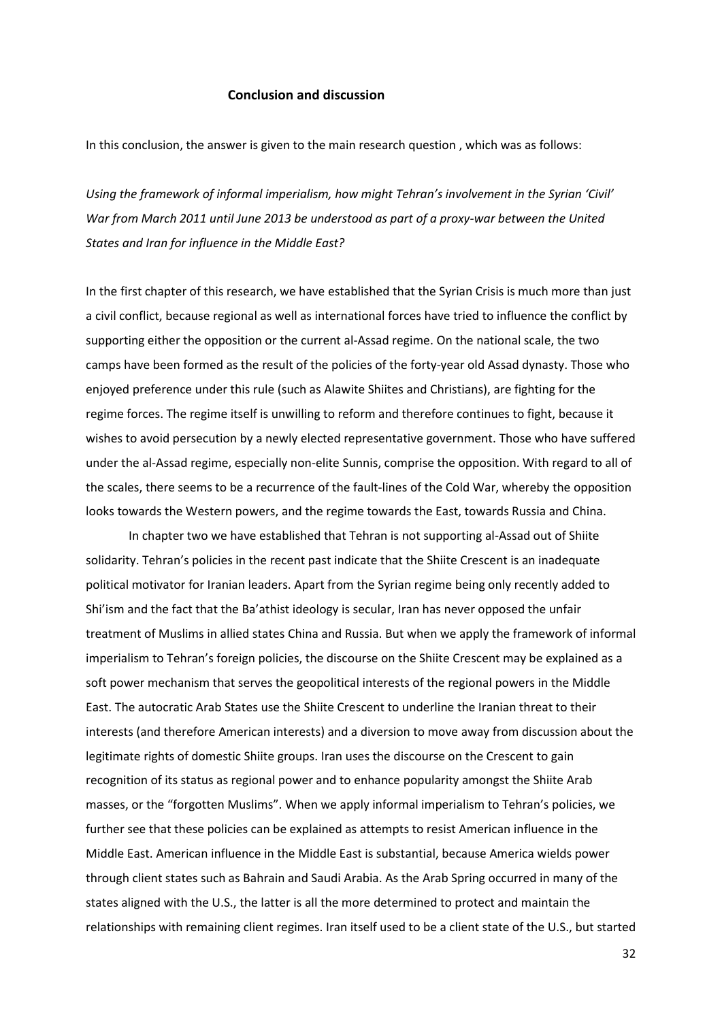# **Conclusion and discussion**

In this conclusion, the answer is given to the main research question , which was as follows:

*Using the framework of informal imperialism, how might Tehran's involvement in the Syrian 'Civil' War from March 2011 until June 2013 be understood as part of a proxy-war between the United States and Iran for influence in the Middle East?*

In the first chapter of this research, we have established that the Syrian Crisis is much more than just a civil conflict, because regional as well as international forces have tried to influence the conflict by supporting either the opposition or the current al-Assad regime. On the national scale, the two camps have been formed as the result of the policies of the forty-year old Assad dynasty. Those who enjoyed preference under this rule (such as Alawite Shiites and Christians), are fighting for the regime forces. The regime itself is unwilling to reform and therefore continues to fight, because it wishes to avoid persecution by a newly elected representative government. Those who have suffered under the al-Assad regime, especially non-elite Sunnis, comprise the opposition. With regard to all of the scales, there seems to be a recurrence of the fault-lines of the Cold War, whereby the opposition looks towards the Western powers, and the regime towards the East, towards Russia and China.

In chapter two we have established that Tehran is not supporting al-Assad out of Shiite solidarity. Tehran's policies in the recent past indicate that the Shiite Crescent is an inadequate political motivator for Iranian leaders. Apart from the Syrian regime being only recently added to Shi'ism and the fact that the Ba'athist ideology is secular, Iran has never opposed the unfair treatment of Muslims in allied states China and Russia. But when we apply the framework of informal imperialism to Tehran's foreign policies, the discourse on the Shiite Crescent may be explained as a soft power mechanism that serves the geopolitical interests of the regional powers in the Middle East. The autocratic Arab States use the Shiite Crescent to underline the Iranian threat to their interests (and therefore American interests) and a diversion to move away from discussion about the legitimate rights of domestic Shiite groups. Iran uses the discourse on the Crescent to gain recognition of its status as regional power and to enhance popularity amongst the Shiite Arab masses, or the "forgotten Muslims". When we apply informal imperialism to Tehran's policies, we further see that these policies can be explained as attempts to resist American influence in the Middle East. American influence in the Middle East is substantial, because America wields power through client states such as Bahrain and Saudi Arabia. As the Arab Spring occurred in many of the states aligned with the U.S., the latter is all the more determined to protect and maintain the relationships with remaining client regimes. Iran itself used to be a client state of the U.S., but started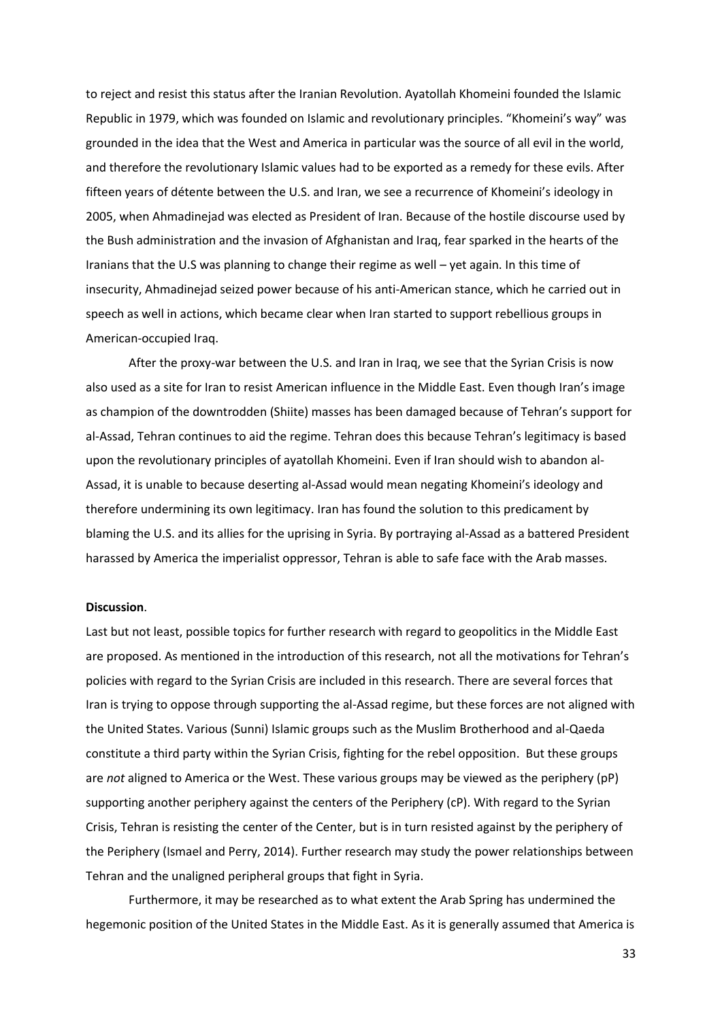to reject and resist this status after the Iranian Revolution. Ayatollah Khomeini founded the Islamic Republic in 1979, which was founded on Islamic and revolutionary principles. "Khomeini's way" was grounded in the idea that the West and America in particular was the source of all evil in the world, and therefore the revolutionary Islamic values had to be exported as a remedy for these evils. After fifteen years of détente between the U.S. and Iran, we see a recurrence of Khomeini's ideology in 2005, when Ahmadinejad was elected as President of Iran. Because of the hostile discourse used by the Bush administration and the invasion of Afghanistan and Iraq, fear sparked in the hearts of the Iranians that the U.S was planning to change their regime as well – yet again. In this time of insecurity, Ahmadinejad seized power because of his anti-American stance, which he carried out in speech as well in actions, which became clear when Iran started to support rebellious groups in American-occupied Iraq.

After the proxy-war between the U.S. and Iran in Iraq, we see that the Syrian Crisis is now also used as a site for Iran to resist American influence in the Middle East. Even though Iran's image as champion of the downtrodden (Shiite) masses has been damaged because of Tehran's support for al-Assad, Tehran continues to aid the regime. Tehran does this because Tehran's legitimacy is based upon the revolutionary principles of ayatollah Khomeini. Even if Iran should wish to abandon al-Assad, it is unable to because deserting al-Assad would mean negating Khomeini's ideology and therefore undermining its own legitimacy. Iran has found the solution to this predicament by blaming the U.S. and its allies for the uprising in Syria. By portraying al-Assad as a battered President harassed by America the imperialist oppressor, Tehran is able to safe face with the Arab masses.

# **Discussion**.

Last but not least, possible topics for further research with regard to geopolitics in the Middle East are proposed. As mentioned in the introduction of this research, not all the motivations for Tehran's policies with regard to the Syrian Crisis are included in this research. There are several forces that Iran is trying to oppose through supporting the al-Assad regime, but these forces are not aligned with the United States. Various (Sunni) Islamic groups such as the Muslim Brotherhood and al-Qaeda constitute a third party within the Syrian Crisis, fighting for the rebel opposition. But these groups are *not* aligned to America or the West. These various groups may be viewed as the periphery (pP) supporting another periphery against the centers of the Periphery (cP). With regard to the Syrian Crisis, Tehran is resisting the center of the Center, but is in turn resisted against by the periphery of the Periphery (Ismael and Perry, 2014). Further research may study the power relationships between Tehran and the unaligned peripheral groups that fight in Syria.

Furthermore, it may be researched as to what extent the Arab Spring has undermined the hegemonic position of the United States in the Middle East. As it is generally assumed that America is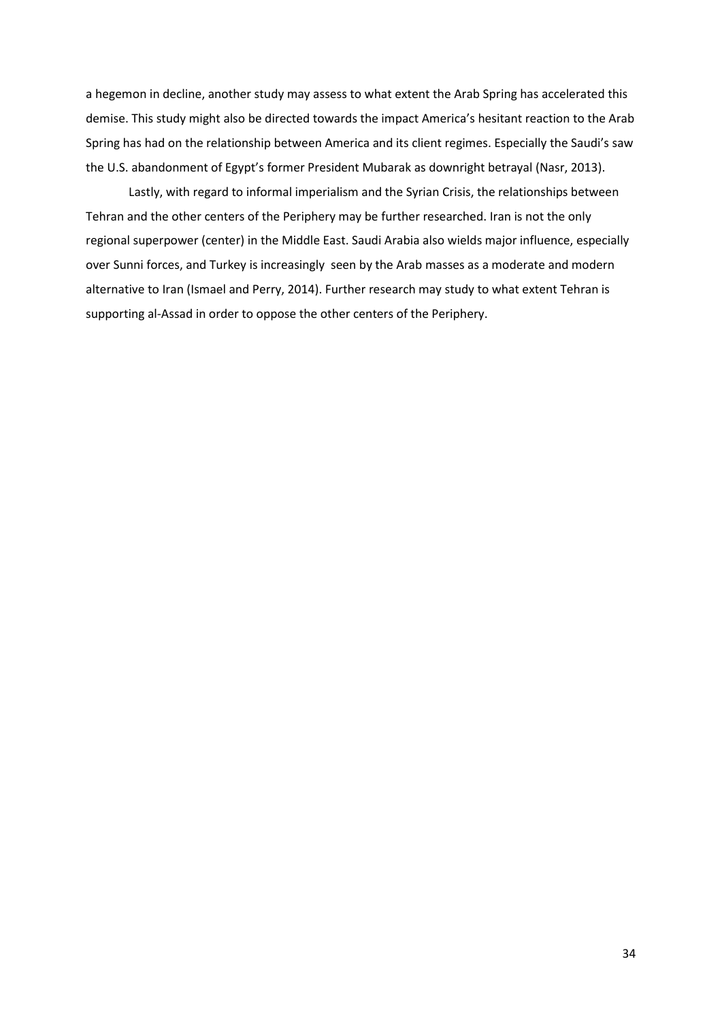a hegemon in decline, another study may assess to what extent the Arab Spring has accelerated this demise. This study might also be directed towards the impact America's hesitant reaction to the Arab Spring has had on the relationship between America and its client regimes. Especially the Saudi's saw the U.S. abandonment of Egypt's former President Mubarak as downright betrayal (Nasr, 2013).

Lastly, with regard to informal imperialism and the Syrian Crisis, the relationships between Tehran and the other centers of the Periphery may be further researched. Iran is not the only regional superpower (center) in the Middle East. Saudi Arabia also wields major influence, especially over Sunni forces, and Turkey is increasingly seen by the Arab masses as a moderate and modern alternative to Iran (Ismael and Perry, 2014). Further research may study to what extent Tehran is supporting al-Assad in order to oppose the other centers of the Periphery.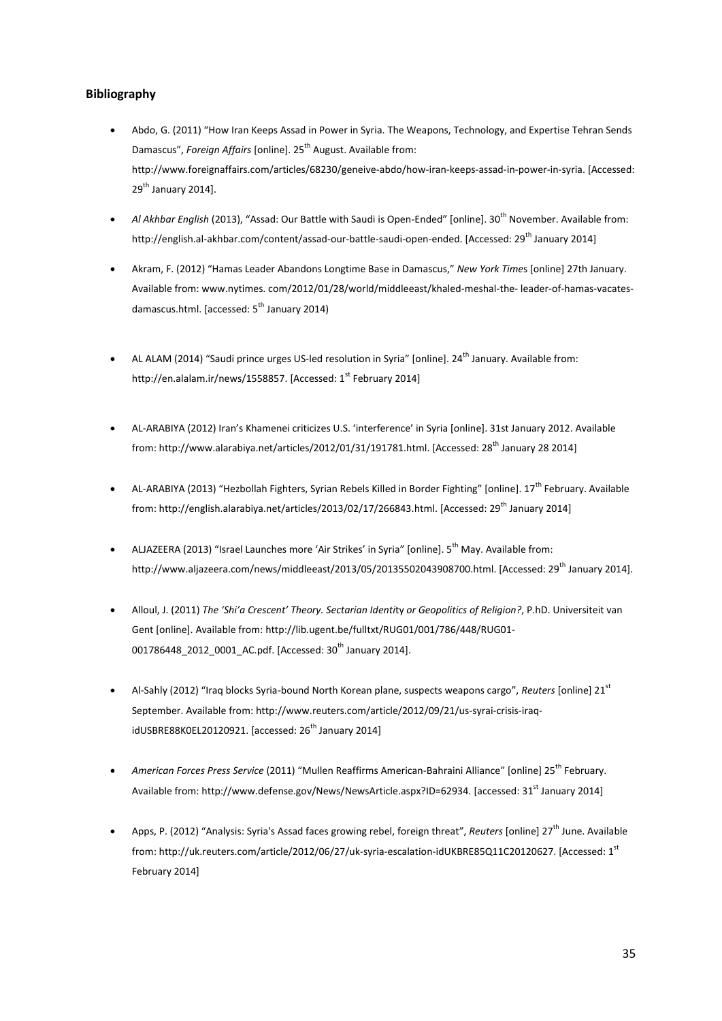# **Bibliography**

- Abdo, G. (2011) "How Iran Keeps Assad in Power in Syria. The Weapons, Technology, and Expertise Tehran Sends Damascus", *Foreign Affairs* [online]. 25<sup>th</sup> August. Available from: http://www.foreignaffairs.com/articles/68230/geneive-abdo/how-iran-keeps-assad-in-power-in-syria. [Accessed:  $29<sup>th</sup>$  January 2014].
- *Al Akhbar English* (2013), "Assad: Our Battle with Saudi is Open-Ended" [online]. 30<sup>th</sup> November. Available from: http://english.al-akhbar.com/content/assad-our-battle-saudi-open-ended. [Accessed: 29<sup>th</sup> January 2014]
- Akram, F. (2012) "Hamas Leader Abandons Longtime Base in Damascus," *New York Time*s [online] 27th January. Available from: www.nytimes. com/2012/01/28/world/middleeast/khaled-meshal-the- leader-of-hamas-vacatesdamascus.html. [accessed: 5<sup>th</sup> January 2014)
- AL ALAM (2014) "Saudi prince urges US-led resolution in Syria" [online].  $24<sup>th</sup>$  January. Available from: http://en.alalam.ir/news/1558857. [Accessed: 1<sup>st</sup> February 2014]
- AL-ARABIYA (2012) Iran's Khamenei criticizes U.S. 'interference' in Syria [online]. 31st January 2012. Available from[: http://www.alarabiya.net/articles/2012/01/31/191781.html.](http://www.alarabiya.net/articles/2012/01/31/191781.html) [Accessed: 28<sup>th</sup> January 28 2014]
- AL-ARABIYA (2013) "Hezbollah Fighters, Syrian Rebels Killed in Border Fighting" [online]. 17<sup>th</sup> February. Available from: http://english.alarabiya.net/articles/2013/02/17/266843.html. [Accessed: 29<sup>th</sup> January 2014]
- ALJAZEERA (2013) "Israel Launches more 'Air Strikes' in Syria" [online].  $5^{th}$  May. Available from: http://www.aliazeera.com/news/middleeast/2013/05/20135502043908700.html. [Accessed: 29<sup>th</sup> January 2014].
- Alloul, J. (2011) *The 'Shi'a Crescent' Theory. Sectarian Identi*ty *or Geopolitics of Religion?*, P.hD. Universiteit van Gent [online]. Available from: [http://lib.ugent.be/fulltxt/RUG01/001/786/448/RUG01-](http://lib.ugent.be/fulltxt/RUG01/001/786/448/RUG01-001786448_2012_0001_AC.pdf) [001786448\\_2012\\_0001\\_AC.pdf.](http://lib.ugent.be/fulltxt/RUG01/001/786/448/RUG01-001786448_2012_0001_AC.pdf) [Accessed: 30<sup>th</sup> January 2014].
- Al-Sahly (2012) "Iraq blocks Syria-bound North Korean plane, suspects weapons cargo", *Reuters* [online] 21st September. Available from[: http://www.reuters.com/article/2012/09/21/us-syrai-crisis-iraq](http://www.reuters.com/article/2012/09/21/us-syrai-crisis-iraq-idUSBRE88K0EL20120921)[idUSBRE88K0EL20120921.](http://www.reuters.com/article/2012/09/21/us-syrai-crisis-iraq-idUSBRE88K0EL20120921) [accessed: 26<sup>th</sup> January 2014]
- **American Forces Press Service** (2011) "Mullen Reaffirms American-Bahraini Alliance" [online] 25<sup>th</sup> February. Available from: http://www.defense.gov/News/NewsArticle.aspx?ID=62934. [accessed: 31<sup>st</sup> January 2014]
- Apps, P. (2012) "Analysis: Syria's Assad faces growing rebel, foreign threat", *Reuters* [online] 27th June. Available from: http://uk.reuters.com/article/2012/06/27/uk-syria-escalation-idUKBRE85Q11C20120627. [Accessed: 1st February 2014]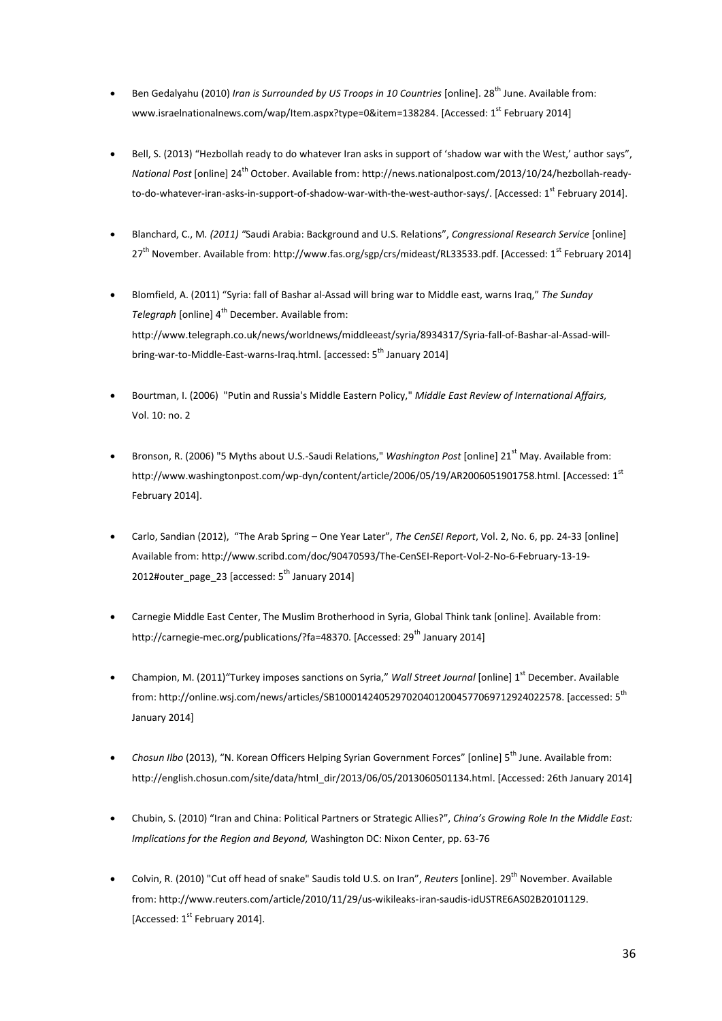- Ben Gedalyahu (2010) *Iran is Surrounded by US Troops in 10 Countries* [online]. 28<sup>th</sup> June. Available from: www.israelnationalnews.com/wap/Item.aspx?type=0&item=138284. [Accessed: 1<sup>st</sup> February 2014]
- Bell, S. (2013) "Hezbollah ready to do whatever Iran asks in support of 'shadow war with the West,' author says", *National Post* [online] 24th October. Available from: http://news.nationalpost.com/2013/10/24/hezbollah-readyto-do-whatever-iran-asks-in-support-of-shadow-war-with-the-west-author-says/. [Accessed: 1<sup>st</sup> February 2014].
- Blanchard, C., M*. (2011) "*Saudi Arabia: Background and U.S. Relations", *Congressional Research Service* [online] 27<sup>th</sup> November. Available from: http://www.fas.org/sgp/crs/mideast/RL33533.pdf. [Accessed: 1<sup>st</sup> February 2014]
- Blomfield, A. (2011) "Syria: fall of Bashar al-Assad will bring war to Middle east, warns Iraq," *The Sunday Telegraph* [online] 4<sup>th</sup> December. Available from: [http://www.telegraph.co.uk/news/worldnews/middleeast/syria/8934317/Syria-fall-of-Bashar-al-Assad-will](http://www.telegraph.co.uk/news/worldnews/middleeast/syria/8934317/Syria-fall-of-Bashar-al-Assad-will-bring-war-to-Middle-East-warns-Iraq.html)[bring-war-to-Middle-East-warns-Iraq.html.](http://www.telegraph.co.uk/news/worldnews/middleeast/syria/8934317/Syria-fall-of-Bashar-al-Assad-will-bring-war-to-Middle-East-warns-Iraq.html) [accessed: 5<sup>th</sup> January 2014]
- Bourtman, I. (2006) "Putin and Russia's Middle Eastern Policy," *Middle East Review of International Affairs,*  Vol. 10: no. 2
- Bronson, R. (2006) "5 Myths about U.S.-Saudi Relations," *Washington Post* [online] 21<sup>st</sup> May. Available from: http://www.washingtonpost.com/wp-dyn/content/article/2006/05/19/AR2006051901758.html. [Accessed: 1st February 2014].
- Carlo, Sandian (2012), "The Arab Spring One Year Later", *The CenSEI Report*, Vol. 2, No. 6, pp. 24-33 [online] Available from[: http://www.scribd.com/doc/90470593/The-CenSEI-Report-Vol-2-No-6-February-13-19-](http://www.scribd.com/doc/90470593/The-CenSEI-Report-Vol-2-No-6-February-13-19-2012#outer_page_23) [2012#outer\\_page\\_23](http://www.scribd.com/doc/90470593/The-CenSEI-Report-Vol-2-No-6-February-13-19-2012#outer_page_23) [accessed:  $5<sup>th</sup>$  January 2014]
- Carnegie Middle East Center, The Muslim Brotherhood in Syria, Global Think tank [online]. Available from: http://carnegie-mec.org/publications/?fa=48370. [Accessed: 29<sup>th</sup> January 2014]
- Champion, M. (2011)"Turkey imposes sanctions on Syria," *Wall Street Journal* [online] 1<sup>st</sup> December. Available from[: http://online.wsj.com/news/articles/SB10001424052970204012004577069712924022578.](http://online.wsj.com/news/articles/SB10001424052970204012004577069712924022578) [accessed: 5th January 2014]
- *Chosun Ilbo* (2013), "N. Korean Officers Helping Syrian Government Forces" [online] 5<sup>th</sup> June. Available from: [http://english.chosun.com/site/data/html\\_dir/2013/06/05/2013060501134.html.](http://english.chosun.com/site/data/html_dir/2013/06/05/2013060501134.html) [Accessed: 26th January 2014]
- Chubin, S. (2010) "Iran and China: Political Partners or Strategic Allies?", *China's Growing Role In the Middle East: Implications for the Region and Beyond,* Washington DC: Nixon Center, pp. 63-76
- Colvin, R. (2010) "Cut off head of snake" Saudis told U.S. on Iran", *Reuters* [online]. 29<sup>th</sup> November. Available from: http://www.reuters.com/article/2010/11/29/us-wikileaks-iran-saudis-idUSTRE6AS02B20101129. [Accessed:  $1<sup>st</sup>$  February 2014].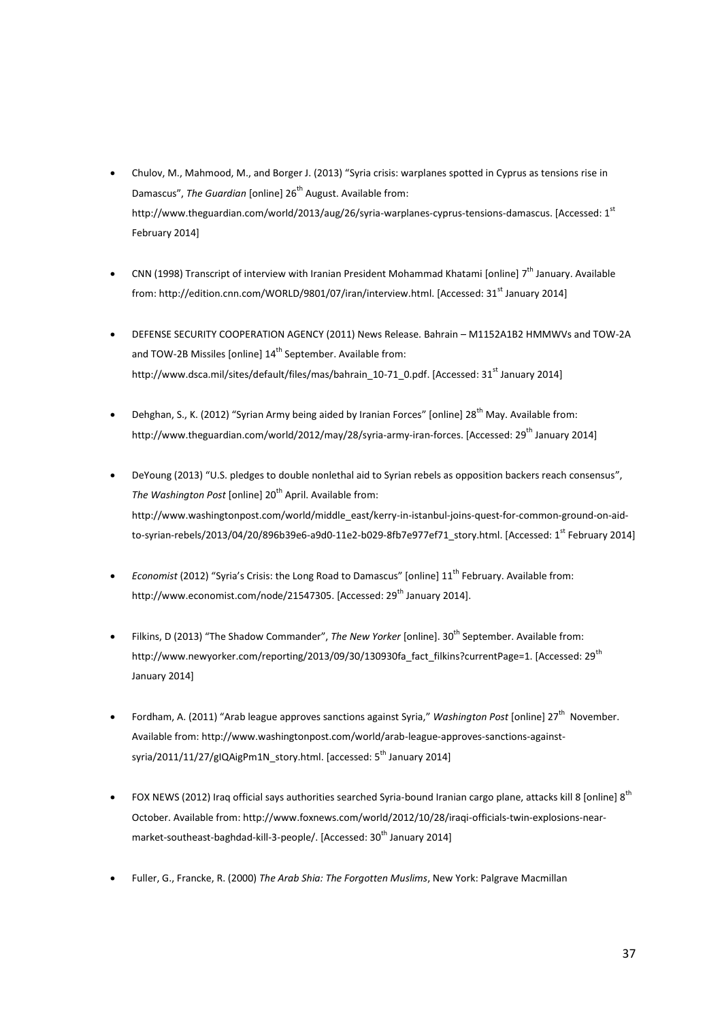- Chulov, M., Mahmood, M., and Borger J. (2013) "Syria crisis: warplanes spotted in Cyprus as tensions rise in Damascus", *The Guardian* [online] 26<sup>th</sup> August. Available from: http://www.theguardian.com/world/2013/aug/26/syria-warplanes-cyprus-tensions-damascus. [Accessed: 1st February 2014]
- CNN (1998) Transcript of interview with Iranian President Mohammad Khatami [online] 7<sup>th</sup> January. Available from: http://edition.cnn.com/WORLD/9801/07/iran/interview.html. [Accessed: 31<sup>st</sup> January 2014]
- DEFENSE SECURITY COOPERATION AGENCY (2011) News Release. Bahrain M1152A1B2 HMMWVs and TOW-2A and TOW-2B Missiles [online] 14<sup>th</sup> September. Available from: http://www.dsca.mil/sites/default/files/mas/bahrain\_10-71\_0.pdf. [Accessed: 31<sup>st</sup> January 2014]
- **•** Dehghan, S., K. (2012) "Syrian Army being aided by Iranian Forces" [online]  $28<sup>th</sup>$  May. Available from: http://www.theguardian.com/world/2012/may/28/syria-army-iran-forces. [Accessed: 29<sup>th</sup> January 2014]
- DeYoung (2013) "U.S. pledges to double nonlethal aid to Syrian rebels as opposition backers reach consensus", *The Washington Post* [online] 20<sup>th</sup> April. Available from: http://www.washingtonpost.com/world/middle\_east/kerry-in-istanbul-joins-quest-for-common-ground-on-aidto-syrian-rebels/2013/04/20/896b39e6-a9d0-11e2-b029-8fb7e977ef71\_story.html. [Accessed: 1<sup>st</sup> February 2014]
- *Economist* (2012) "Syria's Crisis: the Long Road to Damascus" [online] 11<sup>th</sup> February. Available from: http://www.economist.com/node/21547305. [Accessed: 29<sup>th</sup> January 2014].
- Filkins, D (2013) "The Shadow Commander", *The New Yorker* [online]. 30<sup>th</sup> September. Available from: http://www.newyorker.com/reporting/2013/09/30/130930fa\_fact\_filkins?currentPage=1. [Accessed: 29<sup>th</sup> January 2014]
- Fordham, A. (2011) "Arab league approves sanctions against Syria," Washington Post [online] 27<sup>th</sup> November. Available from[: http://www.washingtonpost.com/world/arab-league-approves-sanctions-against](http://www.washingtonpost.com/world/arab-league-approves-sanctions-against-syria/2011/11/27/gIQAigPm1N_story.html)[syria/2011/11/27/gIQAigPm1N\\_story.html.](http://www.washingtonpost.com/world/arab-league-approves-sanctions-against-syria/2011/11/27/gIQAigPm1N_story.html) [accessed: 5<sup>th</sup> January 2014]
- FOX NEWS (2012) Iraq official says authorities searched Syria-bound Iranian cargo plane, attacks kill 8 [online] 8<sup>th</sup> October. Available from: http://www.foxnews.com/world/2012/10/28/iraqi-officials-twin-explosions-nearmarket-southeast-baghdad-kill-3-people/. [Accessed: 30<sup>th</sup> January 2014]
- Fuller, G., Francke, R. (2000) *The Arab Shia: The Forgotten Muslims*, New York: Palgrave Macmillan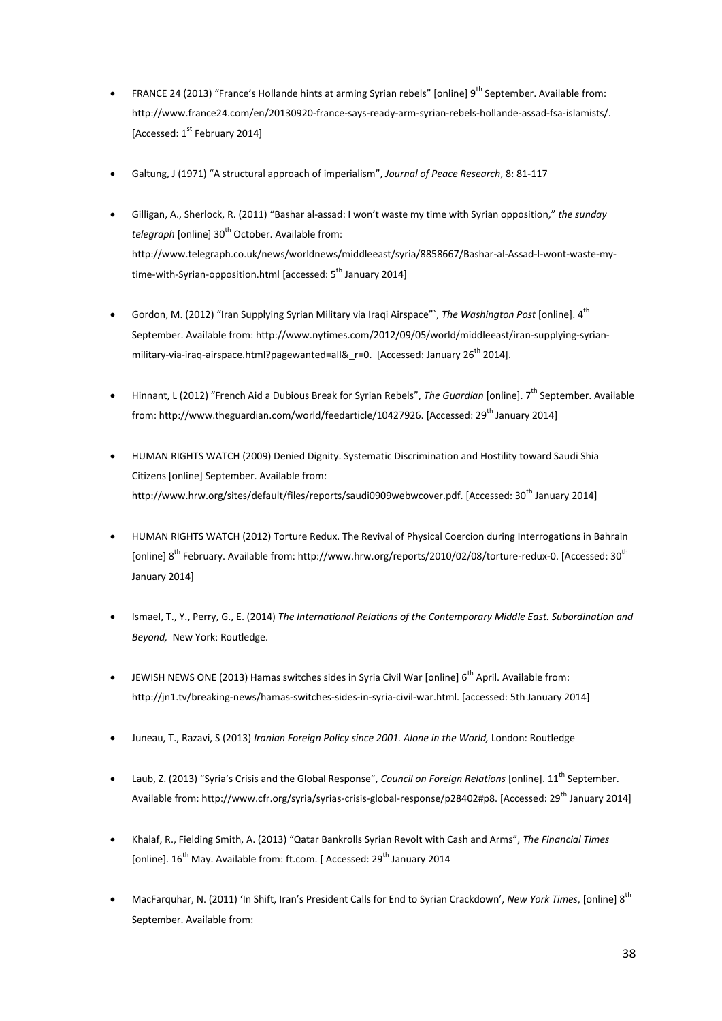- FRANCE 24 (2013) "France's Hollande hints at arming Syrian rebels" [online] 9<sup>th</sup> September. Available from: http://www.france24.com/en/20130920-france-says-ready-arm-syrian-rebels-hollande-assad-fsa-islamists/. [Accessed: 1<sup>st</sup> February 2014]
- Galtung, J (1971) "A structural approach of imperialism", *Journal of Peace Research*, 8: 81-117
- Gilligan, A., Sherlock, R. (2011) "Bashar al-assad: I won't waste my time with Syrian opposition," *the sunday telegraph* [online] 30<sup>th</sup> October. Available from: [http://www.telegraph.co.uk/news/worldnews/middleeast/syria/8858667/Bashar-al-Assad-I-wont-waste-my](http://www.telegraph.co.uk/news/worldnews/middleeast/syria/8858667/Bashar-al-Assad-I-wont-waste-my-time-with-Syrian-opposition.html)[time-with-Syrian-opposition.html](http://www.telegraph.co.uk/news/worldnews/middleeast/syria/8858667/Bashar-al-Assad-I-wont-waste-my-time-with-Syrian-opposition.html) [accessed:  $5<sup>th</sup>$  January 2014]
- Gordon, M. (2012) "Iran Supplying Syrian Military via Iraqi Airspace"`, *The Washington Post* [online]. 4th September. Available from[: http://www.nytimes.com/2012/09/05/world/middleeast/iran-supplying-syrian](http://www.nytimes.com/2012/09/05/world/middleeast/iran-supplying-syrian-military-via-iraq-airspace.html?pagewanted=all&_r=0)[military-via-iraq-airspace.html?pagewanted=all&\\_r=0.](http://www.nytimes.com/2012/09/05/world/middleeast/iran-supplying-syrian-military-via-iraq-airspace.html?pagewanted=all&_r=0) [Accessed: January 26<sup>th</sup> 2014].
- Hinnant, L (2012) "French Aid a Dubious Break for Syrian Rebels", *The Guardian* [online]. 7th September. Available from: http://www.theguardian.com/world/feedarticle/10427926. [Accessed: 29<sup>th</sup> January 2014]
- HUMAN RIGHTS WATCH (2009) Denied Dignity. Systematic Discrimination and Hostility toward Saudi Shia Citizens [online] September. Available from: http://www.hrw.org/sites/default/files/reports/saudi0909webwcover.pdf. [Accessed: 30<sup>th</sup> January 2014]
- HUMAN RIGHTS WATCH (2012) [Torture Redux.](http://www.hrw.org/reports/2010/02/08/torture-redux-0) The Revival of Physical Coercion during Interrogations in Bahrain [online] 8<sup>th</sup> February. Available from: http://www.hrw.org/reports/2010/02/08/torture-redux-0. [Accessed: 30<sup>th</sup> January 2014]
- Ismael, T., Y., Perry, G., E. (2014) *The International Relations of the Contemporary Middle East. Subordination and Beyond,* New York: Routledge.
- JEWISH NEWS ONE (2013) Hamas switches sides in Syria Civil War [online] 6<sup>th</sup> April. Available from: [http://jn1.tv/breaking-news/hamas-switches-sides-in-syria-civil-war.html.](http://jn1.tv/breaking-news/hamas-switches-sides-in-syria-civil-war.html) [accessed: 5th January 2014]
- Juneau, T., Razavi, S (2013) *Iranian Foreign Policy since 2001. Alone in the World,* London: Routledge
- Laub, Z. (2013) "Syria's Crisis and the Global Response", *Council on Foreign Relations* [online]. 11th September. Available from: http://www.cfr.org/syria/syrias-crisis-global-response/p28402#p8. [Accessed: 29<sup>th</sup> January 2014]
- Khalaf, R., Fielding Smith, A. (2013) "Qatar Bankrolls Syrian Revolt with Cash and Arms", *The Financial Times* [online]. 16<sup>th</sup> May. Available from: ft.com. [ Accessed: 29<sup>th</sup> January 2014
- MacFarquhar, N. (2011) 'In Shift, Iran's President Calls for End to Syrian Crackdown', *New York Times*, [online] 8th September. Available from: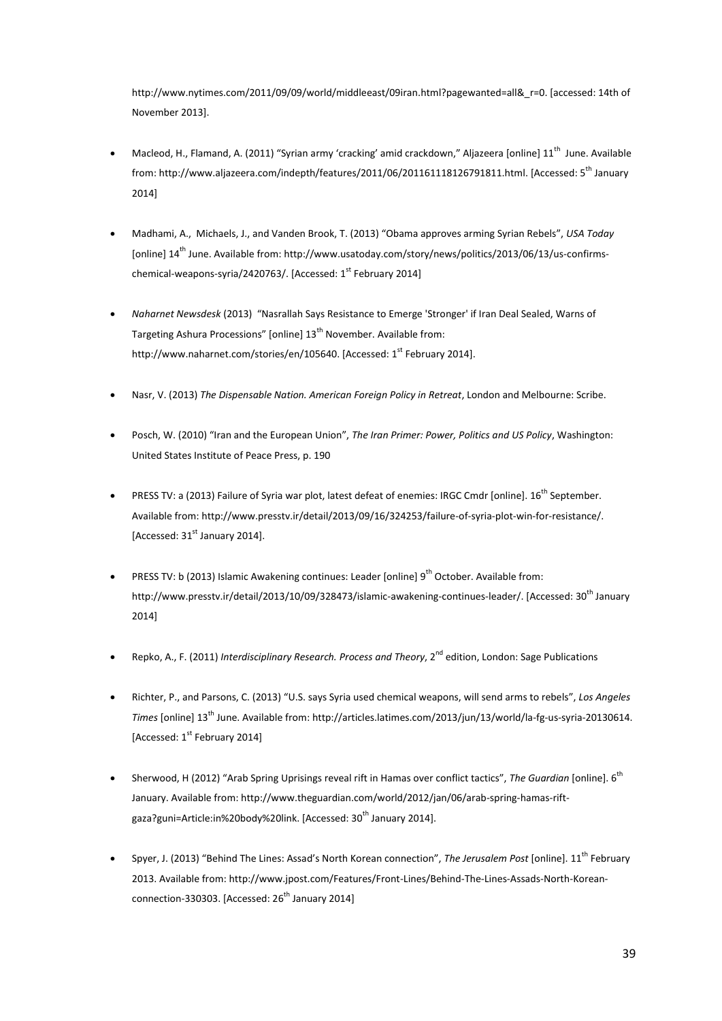[http://www.nytimes.com/2011/09/09/world/middleeast/09iran.html?pagewanted=all&\\_r=0.](http://www.nytimes.com/2011/09/09/world/middleeast/09iran.html?pagewanted=all&_r=0) [accessed: 14th of November 2013].

- Macleod, H., Flamand, A. (2011) "Syrian army 'cracking' amid crackdown," Aljazeera [online]  $11<sup>th</sup>$  June. Available from[: http://www.aljazeera.com/indepth/features/2011/06/201161118126791811.html.](http://www.aljazeera.com/indepth/features/2011/06/201161118126791811.html) [Accessed: 5<sup>th</sup> January 2014]
- Madhami, A., Michaels, J., and Vanden Brook, T. (2013) "Obama approves arming Syrian Rebels", *USA Today* [online] 14<sup>th</sup> June. Available from: http://www.usatoday.com/story/news/politics/2013/06/13/us-confirmschemical-weapons-syria/2420763/. [Accessed:  $1<sup>st</sup>$  February 2014]
- *Naharnet Newsdesk* (2013) "Nasrallah Says Resistance to Emerge 'Stronger' if Iran Deal Sealed, Warns of Targeting Ashura Processions" [online] 13<sup>th</sup> November. Available from: http://www.naharnet.com/stories/en/105640. [Accessed: 1<sup>st</sup> February 2014].
- Nasr, V. (2013) *The Dispensable Nation. American Foreign Policy in Retreat*, London and Melbourne: Scribe.
- Posch, W. (2010) "Iran and the European Union", *The Iran Primer: Power, Politics and US Policy*, Washington: United States Institute of Peace Press, p. 190
- PRESS TV: a (2013) Failure of Syria war plot, latest defeat of enemies: IRGC Cmdr [online]. 16<sup>th</sup> September. Available from: http://www.presstv.ir/detail/2013/09/16/324253/failure-of-syria-plot-win-for-resistance/. [Accessed:  $31<sup>st</sup>$  January 2014].
- **•** PRESS TV: b (2013) Islamic Awakening continues: Leader [online]  $9<sup>th</sup>$  October. Available from: http://www.presstv.ir/detail/2013/10/09/328473/islamic-awakening-continues-leader/. [Accessed: 30<sup>th</sup> January 2014]
- Repko, A., F. (2011) *Interdisciplinary Research. Process and Theory*, 2<sup>nd</sup> edition, London: Sage Publications
- Richter, P., and Parsons, C. (2013) "U.S. says Syria used chemical weapons, will send arms to rebels", *Los Angeles Times* [online] 13th June. Available from: http://articles.latimes.com/2013/jun/13/world/la-fg-us-syria-20130614. [Accessed: 1<sup>st</sup> February 2014]
- Sherwood, H (2012) "Arab Spring Uprisings reveal rift in Hamas over conflict tactics", *The Guardian* [online]. 6th January. Available from: http://www.theguardian.com/world/2012/jan/06/arab-spring-hamas-riftgaza?guni=Article:in%20body%20link. [Accessed: 30<sup>th</sup> January 2014].
- Spyer, J. (2013) "Behind The Lines: Assad's North Korean connection", *The Jerusalem Post* [online]. 11th February 2013. Available from: [http://www.jpost.com/Features/Front-Lines/Behind-The-Lines-Assads-North-Korean](http://www.jpost.com/Features/Front-Lines/Behind-The-Lines-Assads-North-Korean-connection-330303)[connection-330303.](http://www.jpost.com/Features/Front-Lines/Behind-The-Lines-Assads-North-Korean-connection-330303) [Accessed:  $26<sup>th</sup>$  January 2014]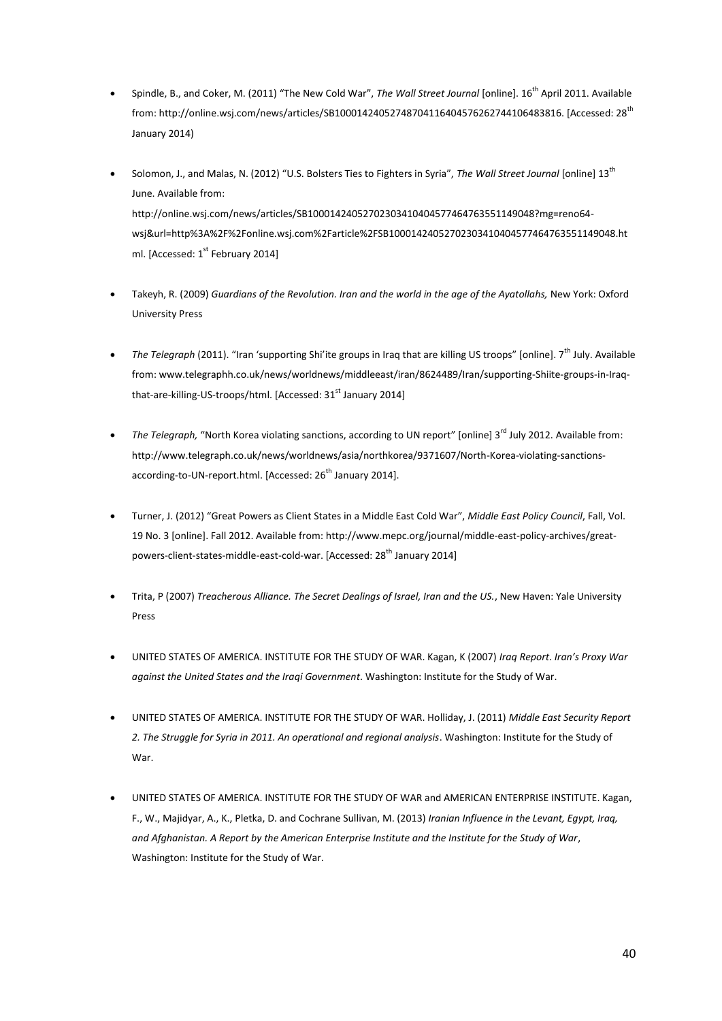- Spindle, B., and Coker, M. (2011) "The New Cold War", *The Wall Street Journal* [online]. 16th April 2011. Available from: http://online.wsj.com/news/articles/SB10001424052748704116404576262744106483816. [Accessed: 28th January 2014)
- Solomon, J., and Malas, N. (2012) "U.S. Bolsters Ties to Fighters in Syria", *The Wall Street Journal* [online] 13th June. Available from: http://online.wsj.com/news/articles/SB10001424052702303410404577464763551149048?mg=reno64 wsj&url=http%3A%2F%2Fonline.wsj.com%2Farticle%2FSB10001424052702303410404577464763551149048.ht ml. [Accessed: 1<sup>st</sup> February 2014]
- Takeyh, R. (2009) *Guardians of the Revolution. Iran and the world in the age of the Ayatollahs, New York: Oxford* University Press
- The Telegraph (2011). "Iran 'supporting Shi'ite groups in Irag that are killing US troops" [online]. 7<sup>th</sup> July. Available from: www.telegraphh.co.uk/news/worldnews/middleeast/iran/8624489/Iran/supporting-Shiite-groups-in-Iraqthat-are-killing-US-troops/html. [Accessed: 31<sup>st</sup> January 2014]
- The Telegraph, "North Korea violating sanctions, according to UN report" [online] 3<sup>rd</sup> July 2012. Available from: [http://www.telegraph.co.uk/news/worldnews/asia/northkorea/9371607/North-Korea-violating-sanctions](http://www.telegraph.co.uk/news/worldnews/asia/northkorea/9371607/North-Korea-violating-sanctions-according-to-UN-report.html)[according-to-UN-report.html.](http://www.telegraph.co.uk/news/worldnews/asia/northkorea/9371607/North-Korea-violating-sanctions-according-to-UN-report.html) [Accessed: 26<sup>th</sup> January 2014].
- Turner, J. (2012) "Great Powers as Client States in a Middle East Cold War", *Middle East Policy Council*, Fall, Vol. 19 No. 3 [online]. Fall 2012. Available from: [http://www.mepc.org/journal/middle-east-policy-archives/great](http://www.mepc.org/journal/middle-east-policy-archives/great-powers-client-states-middle-east-cold-war)[powers-client-states-middle-east-cold-war.](http://www.mepc.org/journal/middle-east-policy-archives/great-powers-client-states-middle-east-cold-war) [Accessed: 28<sup>th</sup> January 2014]
- Trita, P (2007) *Treacherous Alliance. The Secret Dealings of Israel, Iran and the US.*, New Haven: Yale University Press
- UNITED STATES OF AMERICA. INSTITUTE FOR THE STUDY OF WAR. Kagan, K (2007) *Iraq Report*. *Iran's Proxy War against the United States and the Iraqi Government*. Washington: Institute for the Study of War.
- UNITED STATES OF AMERICA. INSTITUTE FOR THE STUDY OF WAR. Holliday, J. (2011) *Middle East Security Report 2. The Struggle for Syria in 2011. An operational and regional analysis*. Washington: Institute for the Study of War.
- UNITED STATES OF AMERICA. INSTITUTE FOR THE STUDY OF WAR and AMERICAN ENTERPRISE INSTITUTE. Kagan, F., W., Majidyar, A., K., Pletka, D. and Cochrane Sullivan, M. (2013) *Iranian Influence in the Levant, Egypt, Iraq, and Afghanistan. A Report by the American Enterprise Institute and the Institute for the Study of War*, Washington: Institute for the Study of War.